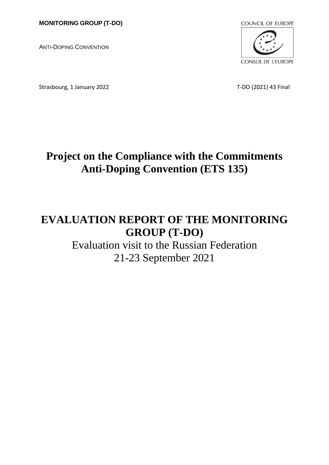**MONITORING GROUP (T-DO)**

ANTI-DOPING CONVENTION

Strasbourg, 1 January 2022 **T-DO** (2021) 43 Final



# **Project on the Compliance with the Commitments Anti-Doping Convention (ETS 135)**

# **EVALUATION REPORT OF THE MONITORING GROUP (T-DO)**

# Evaluation visit to the Russian Federation 21-23 September 2021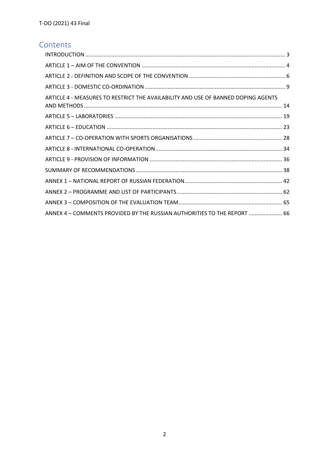# **Contents**

| ARTICLE 4 - MEASURES TO RESTRICT THE AVAILABILITY AND USE OF BANNED DOPING AGENTS |
|-----------------------------------------------------------------------------------|
|                                                                                   |
|                                                                                   |
|                                                                                   |
|                                                                                   |
|                                                                                   |
|                                                                                   |
|                                                                                   |
|                                                                                   |
|                                                                                   |
| ANNEX 4 - COMMENTS PROVIDED BY THE RUSSIAN AUTHORITIES TO THE REPORT  66          |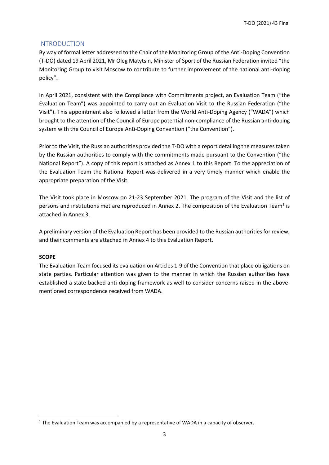### <span id="page-2-0"></span>INTRODUCTION

By way of formal letter addressed to the Chair of the Monitoring Group of the Anti-Doping Convention (T-DO) dated 19 April 2021, Mr Oleg Matytsin, Minister of Sport of the Russian Federation invited "the Monitoring Group to visit Moscow to contribute to further improvement of the national anti-doping policy".

In April 2021, consistent with the Compliance with Commitments project, an Evaluation Team ("the Evaluation Team") was appointed to carry out an Evaluation Visit to the Russian Federation ("the Visit"). This appointment also followed a letter from the World Anti-Doping Agency ("WADA") which brought to the attention of the Council of Europe potential non-compliance of the Russian anti-doping system with the Council of Europe Anti-Doping Convention ("the Convention").

Prior to the Visit, the Russian authorities provided the T-DO with a report detailing the measures taken by the Russian authorities to comply with the commitments made pursuant to the Convention ("the National Report"). A copy of this report is attached as Annex 1 to this Report. To the appreciation of the Evaluation Team the National Report was delivered in a very timely manner which enable the appropriate preparation of the Visit.

The Visit took place in Moscow on 21-23 September 2021. The program of the Visit and the list of persons and institutions met are reproduced in Annex 2. The composition of the Evaluation Team<sup>1</sup> is attached in Annex 3.

A preliminary version of the Evaluation Report has been provided to the Russian authorities for review, and their comments are attached in Annex 4 to this Evaluation Report.

#### **SCOPE**

The Evaluation Team focused its evaluation on Articles 1-9 of the Convention that place obligations on state parties. Particular attention was given to the manner in which the Russian authorities have established a state-backed anti-doping framework as well to consider concerns raised in the abovementioned correspondence received from WADA.

<sup>&</sup>lt;sup>1</sup> The Evaluation Team was accompanied by a representative of WADA in a capacity of observer.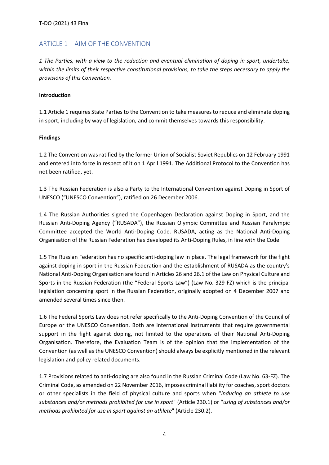# <span id="page-3-0"></span>ARTICLE 1 – AIM OF THE CONVENTION

*1 The Parties, with a view to the reduction and eventual elimination of doping in sport, undertake, within the limits of their respective constitutional provisions, to take the steps necessary to apply the provisions of this Convention.* 

### **Introduction**

1.1 Article 1 requires State Parties to the Convention to take measures to reduce and eliminate doping in sport, including by way of legislation, and commit themselves towards this responsibility.

## **Findings**

1.2 The Convention was ratified by the former Union of Socialist Soviet Republics on 12 February 1991 and entered into force in respect of it on 1 April 1991. The Additional Protocol to the Convention has not been ratified, yet.

1.3 The Russian Federation is also a Party to the International Convention against Doping in Sport of UNESCO ("UNESCO Convention"), ratified on 26 December 2006.

1.4 The Russian Authorities signed the Copenhagen Declaration against Doping in Sport, and the Russian Anti-Doping Agency ("RUSADA"), the Russian Olympic Committee and Russian Paralympic Committee accepted the World Anti-Doping Code. RUSADA, acting as the National Anti-Doping Organisation of the Russian Federation has developed its Anti-Doping Rules, in line with the Code.

1.5 The Russian Federation has no specific anti-doping law in place. The legal framework for the fight against doping in sport in the Russian Federation and the establishment of RUSADA as the country's National Anti-Doping Organisation are found in Articles 26 and 26.1 of the Law on Physical Culture and Sports in the Russian Federation (the "Federal Sports Law") (Law No. 329-FZ) which is the principal legislation concerning sport in the Russian Federation, originally adopted on 4 December 2007 and amended several times since then.

1.6 The Federal Sports Law does not refer specifically to the Anti-Doping Convention of the Council of Europe or the UNESCO Convention. Both are international instruments that require governmental support in the fight against doping, not limited to the operations of their National Anti-Doping Organisation. Therefore, the Evaluation Team is of the opinion that the implementation of the Convention (as well as the UNESCO Convention) should always be explicitly mentioned in the relevant legislation and policy related documents.

1.7 Provisions related to anti-doping are also found in the Russian Criminal Code (Law No. 63-FZ). The Criminal Code, as amended on 22 November 2016, imposes criminal liability for coaches, sport doctors or other specialists in the field of physical culture and sports when "*inducing an athlete to use substances and/or methods prohibited for use in sport*" (Article 230.1) or "*using of substances and/or methods prohibited for use in sport against an athlete*" (Article 230.2).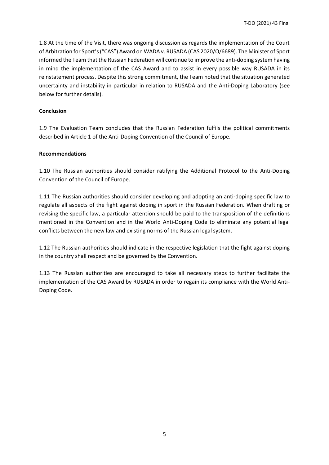1.8 At the time of the Visit, there was ongoing discussion as regards the implementation of the Court of Arbitration for Sport's ("CAS") Award on WADA v. RUSADA (CAS 2020/O/6689). The Minister of Sport informed the Team that the Russian Federation will continue to improve the anti-doping system having in mind the implementation of the CAS Award and to assist in every possible way RUSADA in its reinstatement process. Despite this strong commitment, the Team noted that the situation generated uncertainty and instability in particular in relation to RUSADA and the Anti-Doping Laboratory (see below for further details).

#### **Conclusion**

1.9 The Evaluation Team concludes that the Russian Federation fulfils the political commitments described in Article 1 of the Anti-Doping Convention of the Council of Europe.

#### **Recommendations**

1.10 The Russian authorities should consider ratifying the Additional Protocol to the Anti-Doping Convention of the Council of Europe.

1.11 The Russian authorities should consider developing and adopting an anti-doping specific law to regulate all aspects of the fight against doping in sport in the Russian Federation. When drafting or revising the specific law, a particular attention should be paid to the transposition of the definitions mentioned in the Convention and in the World Anti-Doping Code to eliminate any potential legal conflicts between the new law and existing norms of the Russian legal system.

1.12 The Russian authorities should indicate in the respective legislation that the fight against doping in the country shall respect and be governed by the Convention.

1.13 The Russian authorities are encouraged to take all necessary steps to further facilitate the implementation of the CAS Award by RUSADA in order to regain its compliance with the World Anti-Doping Code.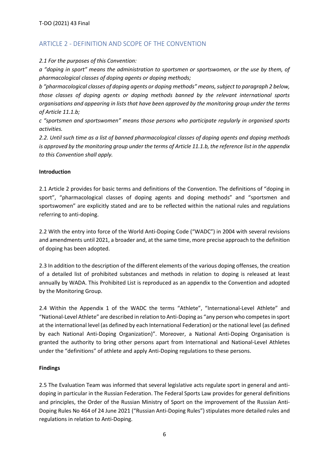# <span id="page-5-0"></span>ARTICLE 2 - DEFINITION AND SCOPE OF THE CONVENTION

*2.1 For the purposes of this Convention:* 

*a "doping in sport" means the administration to sportsmen or sportswomen, or the use by them, of pharmacological classes of doping agents or doping methods;* 

*b "pharmacological classes of doping agents or doping methods" means, subject to paragraph 2 below, those classes of doping agents or doping methods banned by the relevant international sports organisations and appearing in lists that have been approved by the monitoring group under the terms of Article 11.1.b;* 

*c "sportsmen and sportswomen" means those persons who participate regularly in organised sports activities.* 

*2.2. Until such time as a list of banned pharmacological classes of doping agents and doping methods is approved by the monitoring group under the terms of Article 11.1.b, the reference list in the appendix to this Convention shall apply.*

## **Introduction**

2.1 Article 2 provides for basic terms and definitions of the Convention. The definitions of "doping in sport", "pharmacological classes of doping agents and doping methods" and "sportsmen and sportswomen" are explicitly stated and are to be reflected within the national rules and regulations referring to anti-doping.

2.2 With the entry into force of the World Anti-Doping Code ("WADC") in 2004 with several revisions and amendments until 2021, a broader and, at the same time, more precise approach to the definition of doping has been adopted.

2.3 In addition to the description of the different elements of the various doping offenses, the creation of a detailed list of prohibited substances and methods in relation to doping is released at least annually by WADA. This Prohibited List is reproduced as an appendix to the Convention and adopted by the Monitoring Group.

2.4 Within the Appendix 1 of the WADC the terms "Athlete", "International-Level Athlete" and "National-Level Athlete" are described in relation to Anti-Doping as "any person who competes in sport at the international level (as defined by each International Federation) or the national level (as defined by each National Anti-Doping Organization)". Moreover, a National Anti-Doping Organisation is granted the authority to bring other persons apart from International and National-Level Athletes under the "definitions" of athlete and apply Anti-Doping regulations to these persons.

## **Findings**

2.5 The Evaluation Team was informed that several legislative acts regulate sport in general and antidoping in particular in the Russian Federation. The Federal Sports Law provides for general definitions and principles, the Order of the Russian Ministry of Sport on the improvement of the Russian Anti-Doping Rules No 464 of 24 June 2021 ("Russian Anti-Doping Rules") stipulates more detailed rules and regulations in relation to Anti-Doping.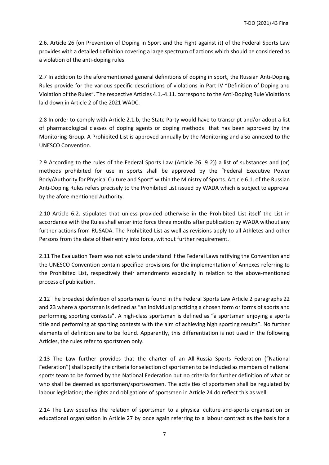2.6. Article 26 (on Prevention of Doping in Sport and the Fight against it) of the Federal Sports Law provides with a detailed definition covering a large spectrum of actions which should be considered as a violation of the anti-doping rules.

2.7 In addition to the aforementioned general definitions of doping in sport, the Russian Anti-Doping Rules provide for the various specific descriptions of violations in Part IV "Definition of Doping and Violation of the Rules". The respective Articles 4.1.-4.11. correspond to the Anti-Doping Rule Violations laid down in Article 2 of the 2021 WADC.

2.8 In order to comply with Article 2.1.b, the State Party would have to transcript and/or adopt a list of pharmacological classes of doping agents or doping methods that has been approved by the Monitoring Group. A Prohibited List is approved annually by the Monitoring and also annexed to the UNESCO Convention.

2.9 According to the rules of the Federal Sports Law (Article 26. 9 2)) a list of substances and (or) methods prohibited for use in sports shall be approved by the "Federal Executive Power Body/Authority for Physical Culture and Sport" within the Ministry of Sports. Article 6.1. of the Russian Anti-Doping Rules refers precisely to the Prohibited List issued by WADA which is subject to approval by the afore mentioned Authority.

2.10 Article 6.2. stipulates that unless provided otherwise in the Prohibited List itself the List in accordance with the Rules shall enter into force three months after publication by WADA without any further actions from RUSADA. The Prohibited List as well as revisions apply to all Athletes and other Persons from the date of their entry into force, without further requirement.

2.11 The Evaluation Team was not able to understand if the Federal Laws ratifying the Convention and the UNESCO Convention contain specified provisions for the implementation of Annexes referring to the Prohibited List, respectively their amendments especially in relation to the above-mentioned process of publication.

2.12 The broadest definition of sportsmen is found in the Federal Sports Law Article 2 paragraphs 22 and 23 where a sportsman is defined as "an individual practicing a chosen form or forms of sports and performing sporting contests". A high-class sportsman is defined as "a sportsman enjoying a sports title and performing at sporting contests with the aim of achieving high sporting results". No further elements of definition are to be found. Apparently, this differentiation is not used in the following Articles, the rules refer to sportsmen only.

2.13 The Law further provides that the charter of an All-Russia Sports Federation ("National Federation") shall specify the criteria for selection of sportsmen to be included as members of national sports team to be formed by the National Federation but no criteria for further definition of what or who shall be deemed as sportsmen/sportswomen. The activities of sportsmen shall be regulated by labour legislation; the rights and obligations of sportsmen in Article 24 do reflect this as well.

2.14 The Law specifies the relation of sportsmen to a physical culture-and-sports organisation or educational organisation in Article 27 by once again referring to a labour contract as the basis for a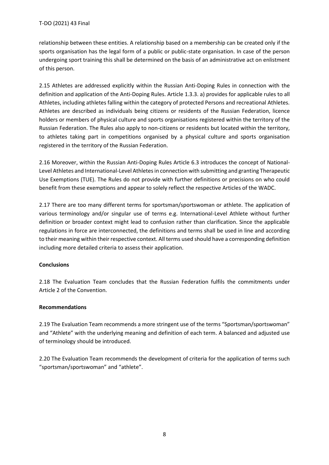relationship between these entities. A relationship based on a membership can be created only if the sports organisation has the legal form of a public or public-state organisation. In case of the person undergoing sport training this shall be determined on the basis of an administrative act on enlistment of this person.

2.15 Athletes are addressed explicitly within the Russian Anti-Doping Rules in connection with the definition and application of the Anti-Doping Rules. Article 1.3.3. a) provides for applicable rules to all Athletes, including athletes falling within the category of protected Persons and recreational Athletes. Athletes are described as individuals being citizens or residents of the Russian Federation, licence holders or members of physical culture and sports organisations registered within the territory of the Russian Federation. The Rules also apply to non-citizens or residents but located within the territory, to athletes taking part in competitions organised by a physical culture and sports organisation registered in the territory of the Russian Federation.

2.16 Moreover, within the Russian Anti-Doping Rules Article 6.3 introduces the concept of National-Level Athletes and International-Level Athletes in connection with submitting and granting Therapeutic Use Exemptions (TUE). The Rules do not provide with further definitions or precisions on who could benefit from these exemptions and appear to solely reflect the respective Articles of the WADC.

2.17 There are too many different terms for sportsman/sportswoman or athlete. The application of various terminology and/or singular use of terms e.g. International-Level Athlete without further definition or broader context might lead to confusion rather than clarification. Since the applicable regulations in force are interconnected, the definitions and terms shall be used in line and according to their meaning within their respective context. All terms used should have a corresponding definition including more detailed criteria to assess their application.

## **Conclusions**

2.18 The Evaluation Team concludes that the Russian Federation fulfils the commitments under Article 2 of the Convention.

## **Recommendations**

2.19 The Evaluation Team recommends a more stringent use of the terms "Sportsman/sportswoman" and "Athlete" with the underlying meaning and definition of each term. A balanced and adjusted use of terminology should be introduced.

2.20 The Evaluation Team recommends the development of criteria for the application of terms such "sportsman/sportswoman" and "athlete".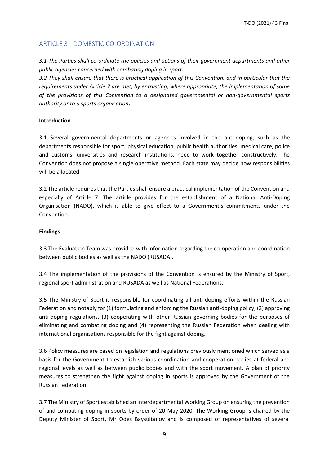## <span id="page-8-0"></span>ARTICLE 3 - DOMESTIC CO-ORDINATION

*3.1 The Parties shall co-ordinate the policies and actions of their government departments and other public agencies concerned with combating doping in sport.* 

*3.2 They shall ensure that there is practical application of this Convention, and in particular that the requirements under Article 7 are met, by entrusting, where appropriate, the implementation of some of the provisions of this Convention to a designated governmental or non-governmental sports authority or to a sports organisation***.** 

#### **Introduction**

3.1 Several governmental departments or agencies involved in the anti-doping, such as the departments responsible for sport, physical education, public health authorities, medical care, police and customs, universities and research institutions, need to work together constructively. The Convention does not propose a single operative method. Each state may decide how responsibilities will be allocated.

3.2 The article requires that the Parties shall ensure a practical implementation of the Convention and especially of Article 7. The article provides for the establishment of a National Anti-Doping Organisation (NADO), which is able to give effect to a Government's commitments under the Convention.

#### **Findings**

3.3 The Evaluation Team was provided with information regarding the co-operation and coordination between public bodies as well as the NADO (RUSADA).

3.4 The implementation of the provisions of the Convention is ensured by the Ministry of Sport, regional sport administration and RUSADA as well as National Federations.

3.5 The Ministry of Sport is responsible for coordinating all anti-doping efforts within the Russian Federation and notably for (1) formulating and enforcing the Russian anti-doping policy, (2) approving anti-doping regulations, (3) cooperating with other Russian governing bodies for the purposes of eliminating and combating doping and (4) representing the Russian Federation when dealing with international organisations responsible for the fight against doping.

3.6 Policy measures are based on legislation and regulations previously mentioned which served as a basis for the Government to establish various coordination and cooperation bodies at federal and regional levels as well as between public bodies and with the sport movement. A plan of priority measures to strengthen the fight against doping in sports is approved by the Government of the Russian Federation.

3.7 The Ministry of Sport established an Interdepartmental Working Group on ensuring the prevention of and combating doping in sports by order of 20 May 2020. The Working Group is chaired by the Deputy Minister of Sport, Mr Odes Baysultanov and is composed of representatives of several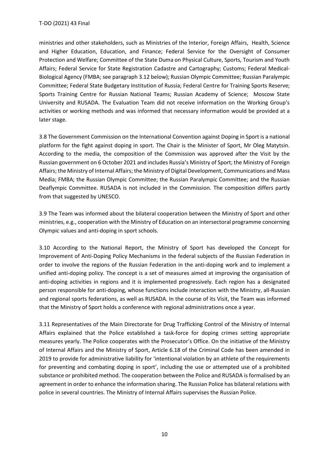ministries and other stakeholders, such as Ministries of the Interior, Foreign Affairs, Health, Science and Higher Education, Education, and Finance; Federal Service for the Oversight of Consumer Protection and Welfare; Committee of the State Duma on Physical Culture, Sports, Tourism and Youth Affairs; Federal Service for State Registration Cadastre and Cartography; Customs; Federal Medical-Biological Agency (FMBA; see paragraph 3.12 below); Russian Olympic Committee; Russian Paralympic Committee; Federal State Budgetary Institution of Russia; Federal Centre for Training Sports Reserve; Sports Training Centre for Russian National Teams; Russian Academy of Science; Moscow State University and RUSADA. The Evaluation Team did not receive information on the Working Group's activities or working methods and was informed that necessary information would be provided at a later stage.

3.8 The Government Commission on the International Convention against Doping in Sport is a national platform for the fight against doping in sport. The Chair is the Minister of Sport, Mr Oleg Matytsin. According to the media, the composition of the Commission was approved after the Visit by the Russian government on 6 October 2021 and includes Russia's Ministry of Sport; the Ministry of Foreign Affairs; the Ministry of Internal Affairs; the Ministry of Digital Development, Communications and Mass Media; FMBA; the Russian Olympic Committee; the Russian Paralympic Committee; and the Russian Deaflympic Committee. RUSADA is not included in the Commission. The composition differs partly from that suggested by UNESCO.

3.9 The Team was informed about the bilateral cooperation between the Ministry of Sport and other ministries, e.g., cooperation with the Ministry of Education on an intersectoral programme concerning Olympic values and anti-doping in sport schools.

3.10 According to the National Report, the Ministry of Sport has developed the Concept for Improvement of Anti-Doping Policy Mechanisms in the federal subjects of the Russian Federation in order to involve the regions of the Russian Federation in the anti-doping work and to implement a unified anti-doping policy. The concept is a set of measures aimed at improving the organisation of anti-doping activities in regions and it is implemented progressively. Each region has a designated person responsible for anti-doping, whose functions include interaction with the Ministry, all-Russian and regional sports federations, as well as RUSADA. In the course of its Visit, the Team was informed that the Ministry of Sport holds a conference with regional administrations once a year.

3.11 Representatives of the Main Directorate for Drug Trafficking Control of the Ministry of Internal Affairs explained that the Police established a task-force for doping crimes setting appropriate measures yearly. The Police cooperates with the Prosecutor's Office. On the initiative of the Ministry of Internal Affairs and the Ministry of Sport, Article 6.18 of the Criminal Code has been amended in 2019 to provide for administrative liability for 'intentional violation by an athlete of the requirements for preventing and combating doping in sport', including the use or attempted use of a prohibited substance or prohibited method. The cooperation between the Police and RUSADA is formalised by an agreement in order to enhance the information sharing. The Russian Police has bilateral relations with police in several countries. The Ministry of Internal Affairs supervises the Russian Police.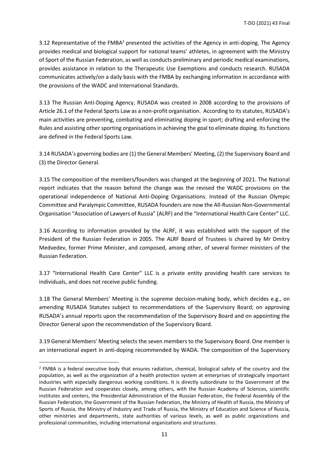3.12 Representative of the  $FMBA<sup>2</sup>$  presented the activities of the Agency in anti-doping. The Agency provides medical and biological support for national teams' athletes, in agreement with the Ministry of Sport of the Russian Federation, as well as conducts preliminary and periodic medical examinations, provides assistance in relation to the Therapeutic Use Exemptions and conducts research. RUSADA communicates actively/on a daily basis with the FMBA by exchanging information in accordance with the provisions of the WADC and International Standards.

3.13 The Russian Anti-Doping Agency, RUSADA was created in 2008 according to the provisions of Article 26.1 of the Federal Sports Law as a non-profit organisation. According to its statutes, RUSADA's main activities are preventing, combating and eliminating doping in sport; drafting and enforcing the Rules and assisting other sporting organisations in achieving the goal to eliminate doping. Its functions are defined in the Federal Sports Law.

3.14 RUSADA's governing bodies are (1) the General Members' Meeting, (2) the Supervisory Board and (3) the Director General.

3.15 The composition of the members/founders was changed at the beginning of 2021. The National report indicates that the reason behind the change was the revised the WADC provisions on the operational independence of National Anti-Doping Organisations. Instead of the Russian Olympic Committee and Paralympic Committee, RUSADA founders are now the All-Russian Non-Governmental Organisation "Association of Lawyers of Russia" (ALRF) and the "International Health Care Center" LLC.

3.16 According to information provided by the ALRF, it was established with the support of the President of the Russian Federation in 2005. The ALRF Board of Trustees is chaired by Mr Dmitry Medvedev, former Prime Minister, and composed, among other, of several former ministers of the Russian Federation.

3.17 "International Health Care Center" LLC is a private entity providing health care services to individuals, and does not receive public funding.

3.18 The General Members' Meeting is the supreme decision-making body, which decides e.g., on amending RUSADA Statutes subject to recommendations of the Supervisory Board; on approving RUSADA's annual reports upon the recommendation of the Supervisory Board and on appointing the Director General upon the recommendation of the Supervisory Board.

3.19 General Members' Meeting selects the seven members to the Supervisory Board. One member is an international expert in anti-doping recommended by WADA. The composition of the Supervisory

 $2$  FMBA is a federal executive body that ensures radiation, chemical, biological safety of the country and the population, as well as the organization of a health protection system at enterprises of strategically important industries with especially dangerous working conditions. It is directly subordinate to the Government of the Russian Federation and cooperates closely, among others, with the Russian Academy of Sciences, scientific institutes and centers, the Presidential Administration of the Russian Federation, the Federal Assembly of the Russian Federation, the Government of the Russian Federation, the Ministry of Health of Russia, the Ministry of Sports of Russia, the Ministry of Industry and Trade of Russia, the Ministry of Education and Science of Russia, other ministries and departments, state authorities of various levels, as well as public organizations and professional communities, including international organizations and structures.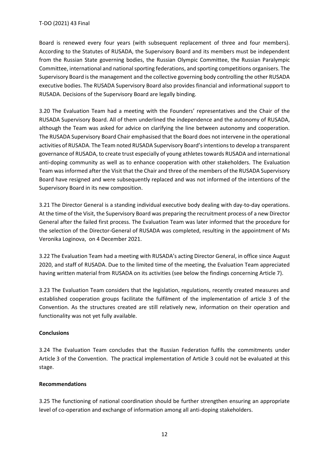Board is renewed every four years (with subsequent replacement of three and four members). According to the Statutes of RUSADA, the Supervisory Board and its members must be independent from the Russian State governing bodies, the Russian Olympic Committee, the Russian Paralympic Committee, international and national sporting federations, and sporting competitions organisers. The Supervisory Board is the management and the collective governing body controlling the other RUSADA executive bodies. The RUSADA Supervisory Board also provides financial and informational support to RUSADA. Decisions of the Supervisory Board are legally binding.

3.20 The Evaluation Team had a meeting with the Founders' representatives and the Chair of the RUSADA Supervisory Board. All of them underlined the independence and the autonomy of RUSADA, although the Team was asked for advice on clarifying the line between autonomy and cooperation. The RUSADA Supervisory Board Chair emphasised that the Board does not intervene in the operational activities of RUSADA. The Team noted RUSADA Supervisory Board's intentions to develop a transparent governance of RUSADA, to create trust especially of young athletes towards RUSADA and international anti-doping community as well as to enhance cooperation with other stakeholders. The Evaluation Team was informed after the Visit that the Chair and three of the members of the RUSADA Supervisory Board have resigned and were subsequently replaced and was not informed of the intentions of the Supervisory Board in its new composition.

3.21 The Director General is a standing individual executive body dealing with day-to-day operations. At the time of the Visit, the Supervisory Board was preparing the recruitment process of a new Director General after the failed first process. The Evaluation Team was later informed that the procedure for the selection of the Director-General of RUSADA was completed, resulting in the appointment of Ms Veronika Loginova, on 4 December 2021.

3.22 The Evaluation Team had a meeting with RUSADA's acting Director General, in office since August 2020, and staff of RUSADA. Due to the limited time of the meeting, the Evaluation Team appreciated having written material from RUSADA on its activities (see below the findings concerning Article 7).

3.23 The Evaluation Team considers that the legislation, regulations, recently created measures and established cooperation groups facilitate the fulfilment of the implementation of article 3 of the Convention. As the structures created are still relatively new, information on their operation and functionality was not yet fully available.

## **Conclusions**

3.24 The Evaluation Team concludes that the Russian Federation fulfils the commitments under Article 3 of the Convention. The practical implementation of Article 3 could not be evaluated at this stage.

## **Recommendations**

3.25 The functioning of national coordination should be further strengthen ensuring an appropriate level of co-operation and exchange of information among all anti-doping stakeholders.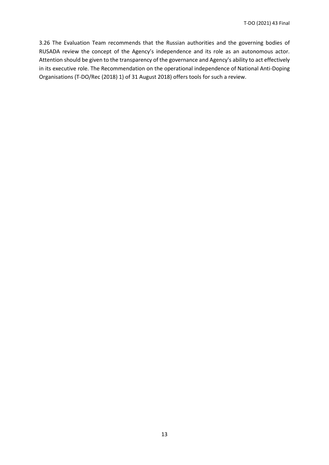3.26 The Evaluation Team recommends that the Russian authorities and the governing bodies of RUSADA review the concept of the Agency's independence and its role as an autonomous actor. Attention should be given to the transparency of the governance and Agency's ability to act effectively in its executive role. The Recommendation on the operational independence of National Anti-Doping Organisations (T-DO/Rec (2018) 1) of 31 August 2018) offers tools for such a review.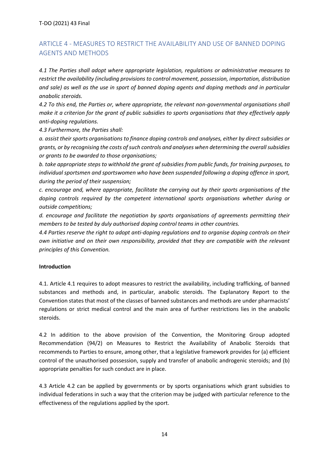# <span id="page-13-0"></span>ARTICLE 4 - MEASURES TO RESTRICT THE AVAILABILITY AND USE OF BANNED DOPING AGENTS AND METHODS

*4.1 The Parties shall adopt where appropriate legislation, regulations or administrative measures to restrict the availability (including provisions to control movement, possession, importation, distribution and sale) as well as the use in sport of banned doping agents and doping methods and in particular anabolic steroids.* 

*4.2 To this end, the Parties or, where appropriate, the relevant non-governmental organisations shall make it a criterion for the grant of public subsidies to sports organisations that they effectively apply anti-doping regulations.* 

*4.3 Furthermore, the Parties shall:* 

*a. assist their sports organisations to finance doping controls and analyses, either by direct subsidies or grants, or by recognising the costs of such controls and analyses when determining the overall subsidies or grants to be awarded to those organisations;* 

*b. take appropriate steps to withhold the grant of subsidies from public funds, for training purposes, to individual sportsmen and sportswomen who have been suspended following a doping offence in sport, during the period of their suspension;* 

*c. encourage and, where appropriate, facilitate the carrying out by their sports organisations of the doping controls required by the competent international sports organisations whether during or outside competitions;* 

*d. encourage and facilitate the negotiation by sports organisations of agreements permitting their members to be tested by duly authorised doping control teams in other countries.* 

*4.4 Parties reserve the right to adopt anti-doping regulations and to organise doping controls on their own initiative and on their own responsibility, provided that they are compatible with the relevant principles of this Convention.* 

## **Introduction**

4.1. Article 4.1 requires to adopt measures to restrict the availability, including trafficking, of banned substances and methods and, in particular, anabolic steroids. The Explanatory Report to the Convention states that most of the classes of banned substances and methods are under pharmacists' regulations or strict medical control and the main area of further restrictions lies in the anabolic steroids.

4.2 In addition to the above provision of the Convention, the Monitoring Group adopted Recommendation (94/2) on Measures to Restrict the Availability of Anabolic Steroids that recommends to Parties to ensure, among other, that a legislative framework provides for (a) efficient control of the unauthorised possession, supply and transfer of anabolic androgenic steroids; and (b) appropriate penalties for such conduct are in place.

4.3 Article 4.2 can be applied by governments or by sports organisations which grant subsidies to individual federations in such a way that the criterion may be judged with particular reference to the effectiveness of the regulations applied by the sport.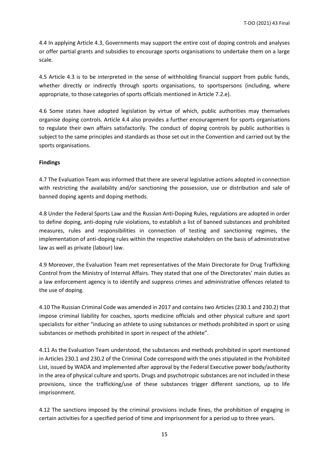4.4 In applying Article 4.3, Governments may support the entire cost of doping controls and analyses or offer partial grants and subsidies to encourage sports organisations to undertake them on a large scale.

4.5 Article 4.3 is to be interpreted in the sense of withholding financial support from public funds, whether directly or indirectly through sports organisations, to sportspersons (including, where appropriate, to those categories of sports officials mentioned in Article 7.2.e).

4.6 Some states have adopted legislation by virtue of which, public authorities may themselves organise doping controls. Article 4.4 also provides a further encouragement for sports organisations to regulate their own affairs satisfactorily. The conduct of doping controls by public authorities is subject to the same principles and standards as those set out in the Convention and carried out by the sports organisations.

#### **Findings**

4.7 The Evaluation Team was informed that there are several legislative actions adopted in connection with restricting the availability and/or sanctioning the possession, use or distribution and sale of banned doping agents and doping methods.

4.8 Under the Federal Sports Law and the Russian Anti-Doping Rules, regulations are adopted in order to define doping, anti-doping rule violations, to establish a list of banned substances and prohibited measures, rules and responsibilities in connection of testing and sanctioning regimes, the implementation of anti-doping rules within the respective stakeholders on the basis of administrative law as well as private (labour) law.

4.9 Moreover, the Evaluation Team met representatives of the Main Directorate for Drug Trafficking Control from the Ministry of Internal Affairs. They stated that one of the Directorates' main duties as a law enforcement agency is to identify and suppress crimes and administrative offences related to the use of doping.

4.10 The Russian Criminal Code was amended in 2017 and contains two Articles (230.1 and 230.2) that impose criminal liability for coaches, sports medicine officials and other physical culture and sport specialists for either "inducing an athlete to using substances or methods prohibited in sport or using substances or methods prohibited in sport in respect of the athlete".

4.11 As the Evaluation Team understood, the substances and methods prohibited in sport mentioned in Articles 230.1 and 230.2 of the Criminal Code correspond with the ones stipulated in the Prohibited List, issued by WADA and implemented after approval by the Federal Executive power body/authority in the area of physical culture and sports. Drugs and psychotropic substances are not included in these provisions, since the trafficking/use of these substances trigger different sanctions, up to life imprisonment.

4.12 The sanctions imposed by the criminal provisions include fines, the prohibition of engaging in certain activities for a specified period of time and imprisonment for a period up to three years.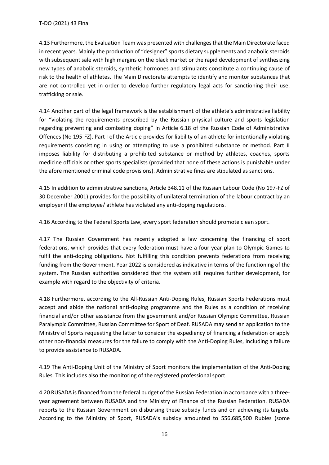4.13 Furthermore, the Evaluation Team was presented with challenges that the Main Directorate faced in recent years. Mainly the production of "designer" sports dietary supplements and anabolic steroids with subsequent sale with high margins on the black market or the rapid development of synthesizing new types of anabolic steroids, synthetic hormones and stimulants constitute a continuing cause of risk to the health of athletes. The Main Directorate attempts to identify and monitor substances that are not controlled yet in order to develop further regulatory legal acts for sanctioning their use, trafficking or sale.

4.14 Another part of the legal framework is the establishment of the athlete's administrative liability for "violating the requirements prescribed by the Russian physical culture and sports legislation regarding preventing and combating doping" in Article 6.18 of the Russian Code of Administrative Offences (No 195-FZ). Part I of the Article provides for liability of an athlete for intentionally violating requirements consisting in using or attempting to use a prohibited substance or method. Part II imposes liability for distributing a prohibited substance or method by athletes, coaches, sports medicine officials or other sports specialists (provided that none of these actions is punishable under the afore mentioned criminal code provisions). Administrative fines are stipulated as sanctions.

4.15 In addition to administrative sanctions, Article 348.11 of the Russian Labour Code (No 197-FZ of 30 December 2001) provides for the possibility of unilateral termination of the labour contract by an employer if the employee/ athlete has violated any anti-doping regulations.

4.16 According to the Federal Sports Law, every sport federation should promote clean sport.

4.17 The Russian Government has recently adopted a law concerning the financing of sport federations, which provides that every federation must have a four-year plan to Olympic Games to fulfil the anti-doping obligations. Not fulfilling this condition prevents federations from receiving funding from the Government. Year 2022 is considered as indicative in terms of the functioning of the system. The Russian authorities considered that the system still requires further development, for example with regard to the objectivity of criteria.

4.18 Furthermore, according to the All-Russian Anti-Doping Rules, Russian Sports Federations must accept and abide the national anti-doping programme and the Rules as a condition of receiving financial and/or other assistance from the government and/or Russian Olympic Committee, Russian Paralympic Committee, Russian Committee for Sport of Deaf. RUSADA may send an application to the Ministry of Sports requesting the latter to consider the expediency of financing a federation or apply other non-financial measures for the failure to comply with the Anti-Doping Rules, including a failure to provide assistance to RUSADA.

4.19 The Anti-Doping Unit of the Ministry of Sport monitors the implementation of the Anti-Doping Rules. This includes also the monitoring of the registered professional sport.

4.20 RUSADA is financed from the federal budget of the Russian Federation in accordance with a threeyear agreement between RUSADA and the Ministry of Finance of the Russian Federation. RUSADA reports to the Russian Government on disbursing these subsidy funds and on achieving its targets. According to the Ministry of Sport, RUSADA's subsidy amounted to 556,685,500 Rubles (some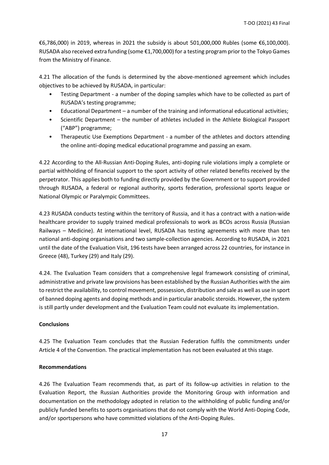€6,786,000) in 2019, whereas in 2021 the subsidy is about 501,000,000 Rubles (some €6,100,000). RUSADA also received extra funding (some €1,700,000) for a testing program prior to the Tokyo Games from the Ministry of Finance.

4.21 The allocation of the funds is determined by the above-mentioned agreement which includes objectives to be achieved by RUSADA, in particular:

- Testing Department a number of the doping samples which have to be collected as part of RUSADA's testing programme;
- Educational Department a number of the training and informational educational activities;
- Scientific Department the number of athletes included in the Athlete Biological Passport ("ABP") programme;
- Therapeutic Use Exemptions Department a number of the athletes and doctors attending the online anti-doping medical educational programme and passing an exam.

4.22 According to the All-Russian Anti-Doping Rules, anti-doping rule violations imply a complete or partial withholding of financial support to the sport activity of other related benefits received by the perpetrator. This applies both to funding directly provided by the Government or to support provided through RUSADA, a federal or regional authority, sports federation, professional sports league or National Olympic or Paralympic Committees.

4.23 RUSADA conducts testing within the territory of Russia, and it has a contract with a nation-wide healthcare provider to supply trained medical professionals to work as BCOs across Russia (Russian Railways – Medicine). At international level, RUSADA has testing agreements with more than ten national anti-doping organisations and two sample-collection agencies. According to RUSADA, in 2021 until the date of the Evaluation Visit, 196 tests have been arranged across 22 countries, for instance in Greece (48), Turkey (29) and Italy (29).

4.24. The Evaluation Team considers that a comprehensive legal framework consisting of criminal, administrative and private law provisions has been established by the Russian Authorities with the aim to restrict the availability, to control movement, possession, distribution and sale as well as use in sport of banned doping agents and doping methods and in particular anabolic steroids. However, the system is still partly under development and the Evaluation Team could not evaluate its implementation.

## **Conclusions**

4.25 The Evaluation Team concludes that the Russian Federation fulfils the commitments under Article 4 of the Convention. The practical implementation has not been evaluated at this stage.

#### **Recommendations**

4.26 The Evaluation Team recommends that, as part of its follow-up activities in relation to the Evaluation Report, the Russian Authorities provide the Monitoring Group with information and documentation on the methodology adopted in relation to the withholding of public funding and/or publicly funded benefits to sports organisations that do not comply with the World Anti-Doping Code, and/or sportspersons who have committed violations of the Anti-Doping Rules.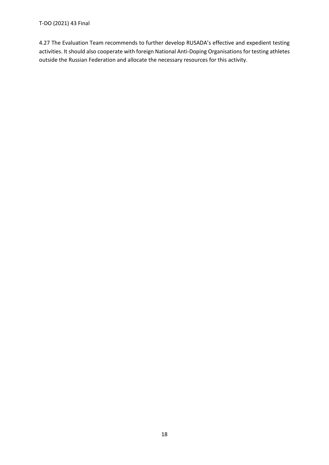## T-DO (2021) 43 Final

4.27 The Evaluation Team recommends to further develop RUSADA's effective and expedient testing activities. It should also cooperate with foreign National Anti-Doping Organisations for testing athletes outside the Russian Federation and allocate the necessary resources for this activity.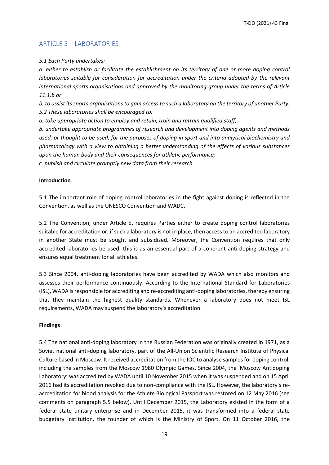## <span id="page-18-0"></span>ARTICLE 5 – LABORATORIES

### *5.1 Each Party undertakes:*

*a. either to establish or facilitate the establishment on its territory of one or more doping control laboratories suitable for consideration for accreditation under the criteria adopted by the relevant international sports organisations and approved by the monitoring group under the terms of Article 11.1.b or* 

*b. to assist its sports organisations to gain access to such a laboratory on the territory of another Party. 5.2 These laboratories shall be encouraged to:* 

*a. take appropriate action to employ and retain, train and retrain qualified staff;* 

*b. undertake appropriate programmes of research and development into doping agents and methods used, or thought to be used, for the purposes of doping in sport and into analytical biochemistry and pharmacology with a view to obtaining a better understanding of the effects of various substances upon the human body and their consequences for athletic performance;* 

*c. publish and circulate promptly new data from their research.*

## **Introduction**

5.1 The important role of doping control laboratories in the fight against doping is reflected in the Convention, as well as the UNESCO Convention and WADC.

5.2 The Convention, under Article 5, requires Parties either to create doping control laboratories suitable for accreditation or, if such a laboratory is not in place, then access to an accredited laboratory in another State must be sought and subsidised. Moreover, the Convention requires that only accredited laboratories be used: this is as an essential part of a coherent anti-doping strategy and ensures equal treatment for all athletes.

5.3 Since 2004, anti-doping laboratories have been accredited by WADA which also monitors and assesses their performance continuously. According to the International Standard for Laboratories (ISL), WADA is responsible for accrediting and re-accrediting anti-doping laboratories, thereby ensuring that they maintain the highest quality standards. Whenever a laboratory does not meet ISL requirements, WADA may suspend the laboratory's accreditation.

#### **Findings**

5.4 The national anti-doping laboratory in the Russian Federation was originally created in 1971, as a Soviet national anti-doping laboratory, part of the All-Union Scientific Research Institute of Physical Culture based in Moscow. It received accreditation from the IOC to analyse samples for doping control, including the samples from the Moscow 1980 Olympic Games. Since 2004, the 'Moscow Antidoping Laboratory' was accredited by WADA until 10 November 2015 when it was suspended and on 15 April 2016 had its accreditation revoked due to non-compliance with the ISL. However, the laboratory's reaccreditation for blood analysis for the Athlete Biological Passport was restored on 12 May 2016 (see comments on paragraph 5.5 below). Until December 2015, the Laboratory existed in the form of a federal state unitary enterprise and in December 2015, it was transformed into a federal state budgetary institution, the founder of which is the Ministry of Sport. On 11 October 2016, the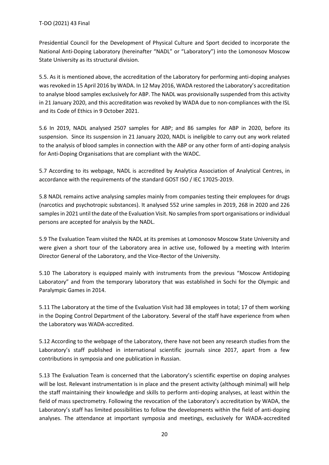Presidential Council for the Development of Physical Culture and Sport decided to incorporate the National Anti-Doping Laboratory (hereinafter "NADL" or "Laboratory") into the Lomonosov Moscow State University as its structural division.

5.5. As it is mentioned above, the accreditation of the Laboratory for performing anti-doping analyses was revoked in 15 April 2016 by WADA. In 12 May 2016, WADA restored the Laboratory's accreditation to analyse blood samples exclusively for ABP. The NADL was provisionally suspended from this activity in 21 January 2020, and this accreditation was revoked by WADA due to non-compliances with the ISL and its Code of Ethics in 9 October 2021.

5.6 In 2019, NADL analysed 2507 samples for ABP; and 86 samples for ABP in 2020, before its suspension. Since its suspension in 21 January 2020, NADL is ineligible to carry out any work related to the analysis of blood samples in connection with the ABP or any other form of anti-doping analysis for Anti-Doping Organisations that are compliant with the WADC.

5.7 According to its webpage, NADL is accredited by Analytica Association of Analytical Centres, in accordance with the requirements of the standard GOST ISO / IEC 17025-2019.

5.8 NADL remains active analysing samples mainly from companies testing their employees for drugs (narcotics and psychotropic substances). It analysed 552 urine samples in 2019, 268 in 2020 and 226 samples in 2021 until the date of the Evaluation Visit. No samples from sport organisations or individual persons are accepted for analysis by the NADL.

5.9 The Evaluation Team visited the NADL at its premises at Lomonosov Moscow State University and were given a short tour of the Laboratory area in active use, followed by a meeting with Interim Director General of the Laboratory, and the Vice-Rector of the University.

5.10 The Laboratory is equipped mainly with instruments from the previous "Moscow Antidoping Laboratory" and from the temporary laboratory that was established in Sochi for the Olympic and Paralympic Games in 2014.

5.11 The Laboratory at the time of the Evaluation Visit had 38 employees in total; 17 of them working in the Doping Control Department of the Laboratory. Several of the staff have experience from when the Laboratory was WADA-accredited.

5.12 According to the webpage of the Laboratory, there have not been any research studies from the Laboratory's staff published in international scientific journals since 2017, apart from a few contributions in symposia and one publication in Russian.

5.13 The Evaluation Team is concerned that the Laboratory's scientific expertise on doping analyses will be lost. Relevant instrumentation is in place and the present activity (although minimal) will help the staff maintaining their knowledge and skills to perform anti-doping analyses, at least within the field of mass spectrometry. Following the revocation of the Laboratory's accreditation by WADA, the Laboratory's staff has limited possibilities to follow the developments within the field of anti-doping analyses. The attendance at important symposia and meetings, exclusively for WADA-accredited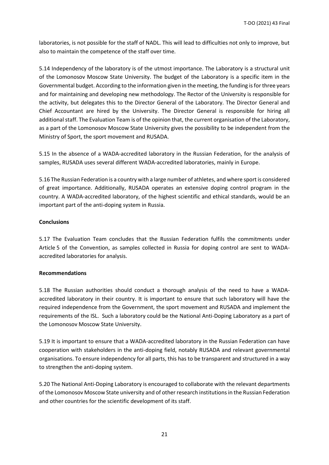laboratories, is not possible for the staff of NADL. This will lead to difficulties not only to improve, but also to maintain the competence of the staff over time.

5.14 Independency of the laboratory is of the utmost importance. The Laboratory is a structural unit of the Lomonosov Moscow State University. The budget of the Laboratory is a specific item in the Governmental budget. According to the information given in the meeting, the funding is for three years and for maintaining and developing new methodology. The Rector of the University is responsible for the activity, but delegates this to the Director General of the Laboratory. The Director General and Chief Accountant are hired by the University. The Director General is responsible for hiring all additional staff. The Evaluation Team is of the opinion that, the current organisation of the Laboratory, as a part of the Lomonosov Moscow State University gives the possibility to be independent from the Ministry of Sport, the sport movement and RUSADA.

5.15 In the absence of a WADA-accredited laboratory in the Russian Federation, for the analysis of samples, RUSADA uses several different WADA-accredited laboratories, mainly in Europe.

5.16 The Russian Federation is a country with a large number of athletes, and where sport is considered of great importance. Additionally, RUSADA operates an extensive doping control program in the country. A WADA-accredited laboratory, of the highest scientific and ethical standards, would be an important part of the anti-doping system in Russia.

#### **Conclusions**

5.17 The Evaluation Team concludes that the Russian Federation fulfils the commitments under Article 5 of the Convention, as samples collected in Russia for doping control are sent to WADAaccredited laboratories for analysis.

#### **Recommendations**

5.18 The Russian authorities should conduct a thorough analysis of the need to have a WADAaccredited laboratory in their country. It is important to ensure that such laboratory will have the required independence from the Government, the sport movement and RUSADA and implement the requirements of the ISL. Such a laboratory could be the National Anti-Doping Laboratory as a part of the Lomonosov Moscow State University.

5.19 It is important to ensure that a WADA-accredited laboratory in the Russian Federation can have cooperation with stakeholders in the anti-doping field, notably RUSADA and relevant governmental organisations. To ensure independency for all parts, this has to be transparent and structured in a way to strengthen the anti-doping system.

5.20 The National Anti-Doping Laboratory is encouraged to collaborate with the relevant departments of the Lomonosov Moscow State university and of other research institutions in the Russian Federation and other countries for the scientific development of its staff.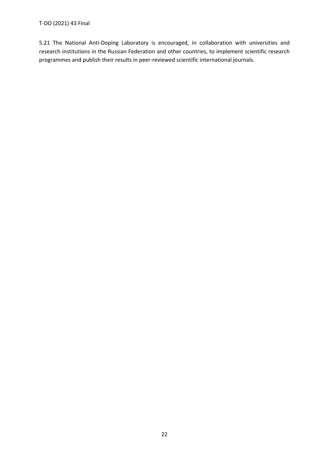## T-DO (2021) 43 Final

5.21 The National Anti-Doping Laboratory is encouraged, in collaboration with universities and research institutions in the Russian Federation and other countries, to implement scientific research programmes and publish their results in peer-reviewed scientific international journals.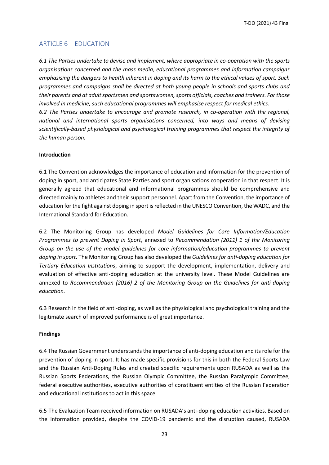T-DO (2021) 43 Final

## <span id="page-22-0"></span>ARTICLE 6 – EDUCATION

*6.1 The Parties undertake to devise and implement, where appropriate in co-operation with the sports organisations concerned and the mass media, educational programmes and information campaigns emphasising the dangers to health inherent in doping and its harm to the ethical values of sport. Such programmes and campaigns shall be directed at both young people in schools and sports clubs and their parents and at adult sportsmen and sportswomen, sports officials, coaches and trainers. For those involved in medicine, such educational programmes will emphasise respect for medical ethics. 6.2 The Parties undertake to encourage and promote research, in co-operation with the regional, national and international sports organisations concerned, into ways and means of devising scientifically-based physiological and psychological training programmes that respect the integrity of* 

#### **Introduction**

*the human person.* 

6.1 The Convention acknowledges the importance of education and information for the prevention of doping in sport, and anticipates State Parties and sport organisations cooperation in that respect. It is generally agreed that educational and informational programmes should be comprehensive and directed mainly to athletes and their support personnel. Apart from the Convention, the importance of education for the fight against doping in sport is reflected in the UNESCO Convention, the WADC, and the International Standard for Education.

6.2 The Monitoring Group has developed *Model Guidelines for Core Information/Education Programmes to prevent Doping in Sport*, annexed to *Recommendation (2011) 1 of the Monitoring Group on the use of the model guidelines for core information/education programmes to prevent doping in sport*. The Monitoring Group has also developed the *Guidelines for anti-doping education for Tertiary Education Institutions*, aiming to support the development, implementation, delivery and evaluation of effective anti-doping education at the university level. These Model Guidelines are annexed to *Recommendation (2016) 2 of the Monitoring Group on the Guidelines for anti-doping education.*

6.3 Research in the field of anti-doping, as well as the physiological and psychological training and the legitimate search of improved performance is of great importance.

#### **Findings**

6.4 The Russian Government understands the importance of anti-doping education and its role for the prevention of doping in sport. It has made specific provisions for this in both the Federal Sports Law and the Russian Anti-Doping Rules and created specific requirements upon RUSADA as well as the Russian Sports Federations, the Russian Olympic Committee, the Russian Paralympic Committee, federal executive authorities, executive authorities of constituent entities of the Russian Federation and educational institutions to act in this space

6.5 The Evaluation Team received information on RUSADA's anti-doping education activities. Based on the information provided, despite the COVID-19 pandemic and the disruption caused, RUSADA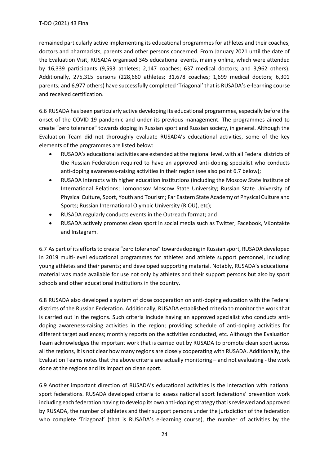remained particularly active implementing its educational programmes for athletes and their coaches, doctors and pharmacists, parents and other persons concerned. From January 2021 until the date of the Evaluation Visit, RUSADA organised 345 educational events, mainly online, which were attended by 16,339 participants (9,593 athletes; 2,147 coaches; 637 medical doctors; and 3,962 others). Additionally, 275,315 persons (228,660 athletes; 31,678 coaches; 1,699 medical doctors; 6,301 parents; and 6,977 others) have successfully completed 'Triagonal' that is RUSADA's e-learning course and received certification.

6.6 RUSADA has been particularly active developing its educational programmes, especially before the onset of the COVID-19 pandemic and under its previous management. The programmes aimed to create "zero tolerance" towards doping in Russian sport and Russian society, in general. Although the Evaluation Team did not thoroughly evaluate RUSADA's educational activities, some of the key elements of the programmes are listed below:

- RUSADA's educational activities are extended at the regional level, with all Federal districts of the Russian Federation required to have an approved anti-doping specialist who conducts anti-doping awareness-raising activities in their region (see also point 6.7 below);
- RUSADA interacts with higher education institutions (including the Moscow State Institute of International Relations; Lomonosov Moscow State University; Russian State University of Physical Culture, Sport, Youth and Tourism; Far Eastern State Academy of Physical Culture and Sports; Russian International Olympic University (RIOU), etc);
- RUSADA regularly conducts events in the Outreach format; and
- RUSADA actively promotes clean sport in social media such as Twitter, Facebook, VKontakte and Instagram.

6.7 As part of its efforts to create "zero tolerance" towards doping in Russian sport, RUSADA developed in 2019 multi-level educational programmes for athletes and athlete support personnel, including young athletes and their parents; and developed supporting material. Notably, RUSADA's educational material was made available for use not only by athletes and their support persons but also by sport schools and other educational institutions in the country.

6.8 RUSADA also developed a system of close cooperation on anti-doping education with the Federal districts of the Russian Federation. Additionally, RUSADA established criteria to monitor the work that is carried out in the regions. Such criteria include having an approved specialist who conducts antidoping awareness-raising activities in the region; providing schedule of anti-doping activities for different target audiences; monthly reports on the activities conducted, etc. Although the Evaluation Team acknowledges the important work that is carried out by RUSADA to promote clean sport across all the regions, it is not clear how many regions are closely cooperating with RUSADA. Additionally, the Evaluation Teams notes that the above criteria are actually monitoring – and not evaluating - the work done at the regions and its impact on clean sport.

6.9 Another important direction of RUSADA's educational activities is the interaction with national sport federations. RUSADA developed criteria to assess national sport federations' prevention work including each federation having to develop its own anti-doping strategy that is reviewed and approved by RUSADA, the number of athletes and their support persons under the jurisdiction of the federation who complete 'Triagonal' (that is RUSADA's e-learning course), the number of activities by the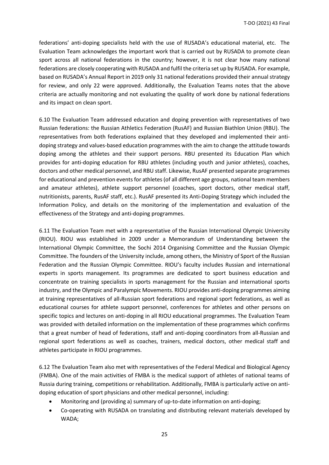federations' anti-doping specialists held with the use of RUSADA's educational material, etc. The Evaluation Team acknowledges the important work that is carried out by RUSADA to promote clean sport across all national federations in the country; however, it is not clear how many national federations are closely cooperating with RUSADA and fulfil the criteria set up by RUSADA. For example, based on RUSADA's Annual Report in 2019 only 31 national federations provided their annual strategy for review, and only 22 were approved. Additionally, the Evaluation Teams notes that the above criteria are actually monitoring and not evaluating the quality of work done by national federations and its impact on clean sport.

6.10 The Evaluation Team addressed education and doping prevention with representatives of two Russian federations: the Russian Athletics Federation (RusAF) and Russian Biathlon Union (RBU). The representatives from both federations explained that they developed and implemented their antidoping strategy and values-based education programmes with the aim to change the attitude towards doping among the athletes and their support persons. RBU presented its Education Plan which provides for anti-doping education for RBU athletes (including youth and junior athletes), coaches, doctors and other medical personnel, and RBU staff. Likewise, RusAF presented separate programmes for educational and prevention events for athletes (of all different age groups, national team members and amateur athletes), athlete support personnel (coaches, sport doctors, other medical staff, nutritionists, parents, RusAF staff, etc.). RusAF presented its Anti-Doping Strategy which included the Information Policy, and details on the monitoring of the implementation and evaluation of the effectiveness of the Strategy and anti-doping programmes.

6.11 The Evaluation Team met with a representative of the Russian International Olympic University (RIOU). RIOU was established in 2009 under a Memorandum of Understanding between the International Olympic Committee, the Sochi 2014 Organising Committee and the Russian Olympic Committee. The founders of the University include, among others, the Ministry of Sport of the Russian Federation and the Russian Olympic Committee. RIOU's faculty includes Russian and international experts in sports management. Its programmes are dedicated to sport business education and concentrate on training specialists in sports management for the Russian and international sports industry, and the Olympic and Paralympic Movements. RIOU provides anti-doping programmes aiming at training representatives of all-Russian sport federations and regional sport federations, as well as educational courses for athlete support personnel, conferences for athletes and other persons on specific topics and lectures on anti-doping in all RIOU educational programmes. The Evaluation Team was provided with detailed information on the implementation of these programmes which confirms that a great number of head of federations, staff and anti-doping coordinators from all-Russian and regional sport federations as well as coaches, trainers, medical doctors, other medical staff and athletes participate in RIOU programmes.

6.12 The Evaluation Team also met with representatives of the Federal Medical and Biological Agency (FMBA). One of the main activities of FMBA is the medical support of athletes of national teams of Russia during training, competitions or rehabilitation. Additionally, FMBA is particularly active on antidoping education of sport physicians and other medical personnel, including:

- Monitoring and (providing a) summary of up-to-date information on anti-doping;
- Co-operating with RUSADA on translating and distributing relevant materials developed by WADA;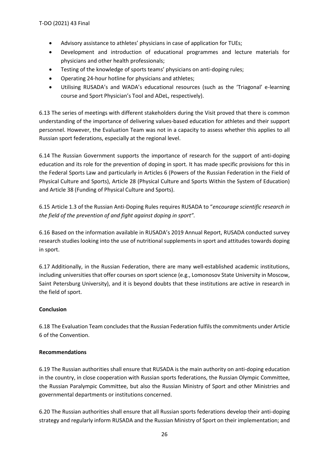- Advisory assistance to athletes' physicians in case of application for TUEs;
- Development and introduction of educational programmes and lecture materials for physicians and other health professionals;
- Testing of the knowledge of sports teams' physicians on anti-doping rules;
- Operating 24-hour hotline for physicians and athletes;
- Utilising RUSADA's and WADA's educational resources (such as the 'Triagonal' e-learning course and Sport Physician's Tool and ADeL, respectively).

6.13 The series of meetings with different stakeholders during the Visit proved that there is common understanding of the importance of delivering values-based education for athletes and their support personnel. However, the Evaluation Team was not in a capacity to assess whether this applies to all Russian sport federations, especially at the regional level.

6.14 The Russian Government supports the importance of research for the support of anti-doping education and its role for the prevention of doping in sport. It has made specific provisions for this in the Federal Sports Law and particularly in Articles 6 (Powers of the Russian Federation in the Field of Physical Culture and Sports), Article 28 (Physical Culture and Sports Within the System of Education) and Article 38 (Funding of Physical Culture and Sports).

6.15 Article 1.3 of the Russian Anti-Doping Rules requires RUSADA to "*encourage scientific research in the field of the prevention of and fight against doping in sport".*

6.16 Based on the information available in RUSADA's 2019 Annual Report, RUSADA conducted survey research studies looking into the use of nutritional supplements in sport and attitudes towards doping in sport.

6.17 Additionally, in the Russian Federation, there are many well-established academic institutions, including universities that offer courses on sport science (e.g., Lomonosov State University in Moscow, Saint Petersburg University), and it is beyond doubts that these institutions are active in research in the field of sport.

## **Conclusion**

6.18 The Evaluation Team concludes that the Russian Federation fulfilsthe commitments under Article 6 of the Convention.

## **Recommendations**

6.19 The Russian authorities shall ensure that RUSADA is the main authority on anti-doping education in the country, in close cooperation with Russian sports federations, the Russian Olympic Committee, the Russian Paralympic Committee, but also the Russian Ministry of Sport and other Ministries and governmental departments or institutions concerned.

6.20 The Russian authorities shall ensure that all Russian sports federations develop their anti-doping strategy and regularly inform RUSADA and the Russian Ministry of Sport on their implementation; and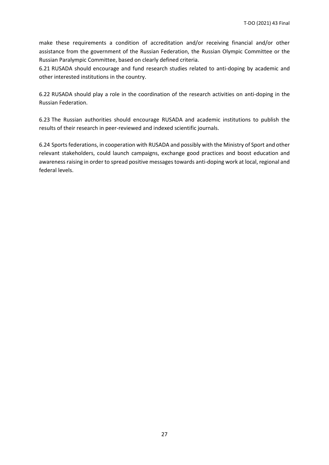make these requirements a condition of accreditation and/or receiving financial and/or other assistance from the government of the Russian Federation, the Russian Olympic Committee or the Russian Paralympic Committee, based on clearly defined criteria.

6.21 RUSADA should encourage and fund research studies related to anti-doping by academic and other interested institutions in the country.

6.22 RUSADA should play a role in the coordination of the research activities on anti-doping in the Russian Federation.

6.23 The Russian authorities should encourage RUSADA and academic institutions to publish the results of their research in peer-reviewed and indexed scientific journals.

6.24 Sports federations, in cooperation with RUSADA and possibly with the Ministry of Sport and other relevant stakeholders, could launch campaigns, exchange good practices and boost education and awareness raising in order to spread positive messages towards anti-doping work at local, regional and federal levels.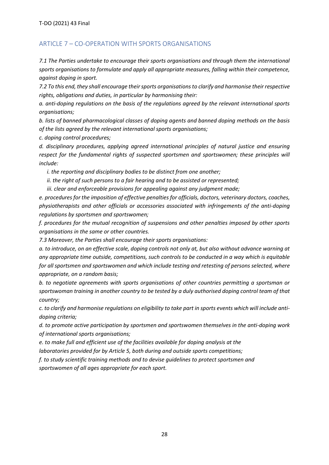# <span id="page-27-0"></span>ARTICLE 7 – CO-OPERATION WITH SPORTS ORGANISATIONS

*7.1 The Parties undertake to encourage their sports organisations and through them the international sports organisations to formulate and apply all appropriate measures, falling within their competence, against doping in sport.* 

*7.2 To this end, they shall encourage their sports organisations to clarify and harmonise their respective rights, obligations and duties, in particular by harmonising their:* 

*a. anti-doping regulations on the basis of the regulations agreed by the relevant international sports organisations;* 

*b. lists of banned pharmacological classes of doping agents and banned doping methods on the basis of the lists agreed by the relevant international sports organisations;* 

*c. doping control procedures;* 

*d. disciplinary procedures, applying agreed international principles of natural justice and ensuring*  respect for the fundamental rights of suspected sportsmen and sportswomen; these principles will *include:* 

*i. the reporting and disciplinary bodies to be distinct from one another;* 

*ii. the right of such persons to a fair hearing and to be assisted or represented;* 

*iii. clear and enforceable provisions for appealing against any judgment made;* 

*e. procedures for the imposition of effective penalties for officials, doctors, veterinary doctors, coaches, physiotherapists and other officials or accessories associated with infringements of the anti-doping regulations by sportsmen and sportswomen;* 

*f. procedures for the mutual recognition of suspensions and other penalties imposed by other sports organisations in the same or other countries.* 

*7.3 Moreover, the Parties shall encourage their sports organisations:* 

*a. to introduce, on an effective scale, doping controls not only at, but also without advance warning at any appropriate time outside, competitions, such controls to be conducted in a way which is equitable for all sportsmen and sportswomen and which include testing and retesting of persons selected, where appropriate, on a random basis;* 

*b. to negotiate agreements with sports organisations of other countries permitting a sportsman or sportswoman training in another country to be tested by a duly authorised doping control team of that country;* 

*c. to clarify and harmonise regulations on eligibility to take part in sports events which will include antidoping criteria;* 

*d. to promote active participation by sportsmen and sportswomen themselves in the anti-doping work of international sports organisations;* 

*e. to make full and efficient use of the facilities available for doping analysis at the*

*laboratories provided for by Article 5, both during and outside sports competitions;*

*f. to study scientific training methods and to devise guidelines to protect sportsmen and sportswomen of all ages appropriate for each sport.*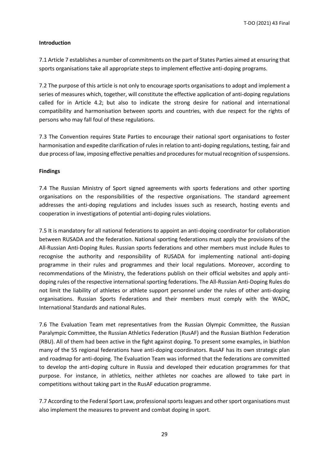#### **Introduction**

7.1 Article 7 establishes a number of commitments on the part of States Parties aimed at ensuring that sports organisations take all appropriate steps to implement effective anti-doping programs.

7.2 The purpose of this article is not only to encourage sports organisations to adopt and implement a series of measures which, together, will constitute the effective application of anti-doping regulations called for in Article 4.2; but also to indicate the strong desire for national and international compatibility and harmonisation between sports and countries, with due respect for the rights of persons who may fall foul of these regulations.

7.3 The Convention requires State Parties to encourage their national sport organisations to foster harmonisation and expedite clarification of rules in relation to anti-doping regulations, testing, fair and due process of law, imposing effective penalties and procedures for mutual recognition of suspensions.

#### **Findings**

7.4 The Russian Ministry of Sport signed agreements with sports federations and other sporting organisations on the responsibilities of the respective organisations. The standard agreement addresses the anti-doping regulations and includes issues such as research, hosting events and cooperation in investigations of potential anti-doping rules violations.

7.5 It is mandatory for all national federations to appoint an anti-doping coordinator for collaboration between RUSADA and the federation. National sporting federations must apply the provisions of the All-Russian Anti-Doping Rules. Russian sports federations and other members must include Rules to recognise the authority and responsibility of RUSADA for implementing national anti-doping programme in their rules and programmes and their local regulations. Moreover, according to recommendations of the Ministry, the federations publish on their official websites and apply antidoping rules of the respective international sporting federations. The All-Russian Anti-Doping Rules do not limit the liability of athletes or athlete support personnel under the rules of other anti-doping organisations. Russian Sports Federations and their members must comply with the WADC, International Standards and national Rules.

7.6 The Evaluation Team met representatives from the Russian Olympic Committee, the Russian Paralympic Committee, the Russian Athletics Federation (RusAF) and the Russian Biathlon Federation (RBU). All of them had been active in the fight against doping. To present some examples, in biathlon many of the 55 regional federations have anti-doping coordinators. RusAF has its own strategic plan and roadmap for anti-doping. The Evaluation Team was informed that the federations are committed to develop the anti-doping culture in Russia and developed their education programmes for that purpose. For instance, in athletics, neither athletes nor coaches are allowed to take part in competitions without taking part in the RusAF education programme.

7.7 According to the Federal Sport Law, professional sports leagues and other sport organisations must also implement the measures to prevent and combat doping in sport.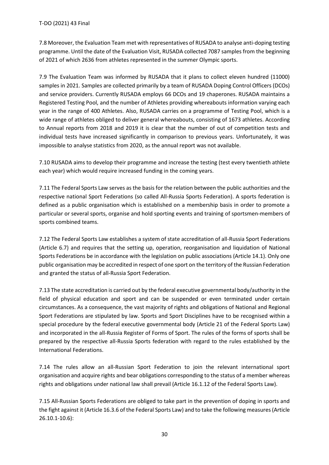7.8 Moreover, the Evaluation Team met with representatives of RUSADA to analyse anti-doping testing programme. Until the date of the Evaluation Visit, RUSADA collected 7087 samples from the beginning of 2021 of which 2636 from athletes represented in the summer Olympic sports.

7.9 The Evaluation Team was informed by RUSADA that it plans to collect eleven hundred (11000) samples in 2021. Samples are collected primarily by a team of RUSADA Doping Control Officers (DCOs) and service providers. Currently RUSADA employs 66 DCOs and 19 chaperones. RUSADA maintains a Registered Testing Pool, and the number of Athletes providing whereabouts information varying each year in the range of 400 Athletes. Also, RUSADA carries on a programme of Testing Pool, which is a wide range of athletes obliged to deliver general whereabouts, consisting of 1673 athletes. According to Annual reports from 2018 and 2019 it is clear that the number of out of competition tests and individual tests have increased significantly in comparison to previous years. Unfortunately, it was impossible to analyse statistics from 2020, as the annual report was not available.

7.10 RUSADA aims to develop their programme and increase the testing (test every twentieth athlete each year) which would require increased funding in the coming years.

7.11 The Federal Sports Law serves as the basis for the relation between the public authorities and the respective national Sport Federations (so called All-Russia Sports Federation). A sports federation is defined as a public organisation which is established on a membership basis in order to promote a particular or several sports, organise and hold sporting events and training of sportsmen-members of sports combined teams.

7.12 The Federal Sports Law establishes a system of state accreditation of all-Russia Sport Federations (Article 6.7) and requires that the setting up, operation, reorganisation and liquidation of National Sports Federations be in accordance with the legislation on public associations (Article 14.1). Only one public organisation may be accredited in respect of one sport on the territory of the Russian Federation and granted the status of all-Russia Sport Federation.

7.13 The state accreditation is carried out by the federal executive governmental body/authority in the field of physical education and sport and can be suspended or even terminated under certain circumstances. As a consequence, the vast majority of rights and obligations of National and Regional Sport Federations are stipulated by law. Sports and Sport Disciplines have to be recognised within a special procedure by the federal executive governmental body (Article 21 of the Federal Sports Law) and incorporated in the all-Russia Register of Forms of Sport. The rules of the forms of sports shall be prepared by the respective all-Russia Sports federation with regard to the rules established by the International Federations.

7.14 The rules allow an all-Russian Sport Federation to join the relevant international sport organisation and acquire rights and bear obligations corresponding to the status of a member whereas rights and obligations under national law shall prevail (Article 16.1.12 of the Federal Sports Law).

7.15 All-Russian Sports Federations are obliged to take part in the prevention of doping in sports and the fight against it (Article 16.3.6 of the Federal Sports Law) and to take the following measures (Article 26.10.1-10.6):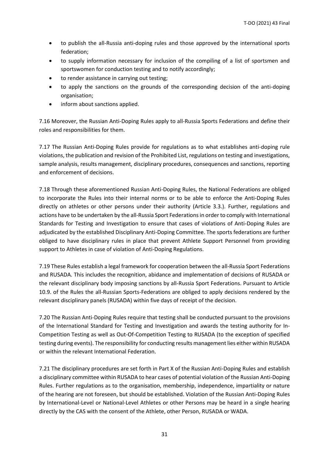- to publish the all-Russia anti-doping rules and those approved by the international sports federation;
- to supply information necessary for inclusion of the compiling of a list of sportsmen and sportswomen for conduction testing and to notify accordingly;
- to render assistance in carrying out testing;
- to apply the sanctions on the grounds of the corresponding decision of the anti-doping organisation;
- inform about sanctions applied.

7.16 Moreover, the Russian Anti-Doping Rules apply to all-Russia Sports Federations and define their roles and responsibilities for them.

7.17 The Russian Anti-Doping Rules provide for regulations as to what establishes anti-doping rule violations, the publication and revision of the Prohibited List, regulations on testing and investigations, sample analysis, results management, disciplinary procedures, consequences and sanctions, reporting and enforcement of decisions.

7.18 Through these aforementioned Russian Anti-Doping Rules, the National Federations are obliged to incorporate the Rules into their internal norms or to be able to enforce the Anti-Doping Rules directly on athletes or other persons under their authority (Article 3.3.). Further, regulations and actions have to be undertaken by the all-Russia Sport Federations in order to comply with International Standards for Testing and Investigation to ensure that cases of violations of Anti-Doping Rules are adjudicated by the established Disciplinary Anti-Doping Committee. The sports federations are further obliged to have disciplinary rules in place that prevent Athlete Support Personnel from providing support to Athletes in case of violation of Anti-Doping Regulations.

7.19 These Rules establish a legal framework for cooperation between the all-Russia Sport Federations and RUSADA. This includes the recognition, abidance and implementation of decisions of RUSADA or the relevant disciplinary body imposing sanctions by all-Russia Sport Federations. Pursuant to Article 10.9. of the Rules the all-Russian Sports-Federations are obliged to apply decisions rendered by the relevant disciplinary panels (RUSADA) within five days of receipt of the decision.

7.20 The Russian Anti-Doping Rules require that testing shall be conducted pursuant to the provisions of the International Standard for Testing and Investigation and awards the testing authority for In-Competition Testing as well as Out-Of-Competition Testing to RUSADA (to the exception of specified testing during events). The responsibility for conducting results management lies either within RUSADA or within the relevant International Federation.

7.21 The disciplinary procedures are set forth in Part X of the Russian Anti-Doping Rules and establish a disciplinary committee within RUSADA to hear cases of potential violation of the Russian Anti-Doping Rules. Further regulations as to the organisation, membership, independence, impartiality or nature of the hearing are not foreseen, but should be established. Violation of the Russian Anti-Doping Rules by International-Level or National-Level Athletes or other Persons may be heard in a single hearing directly by the CAS with the consent of the Athlete, other Person, RUSADA or WADA.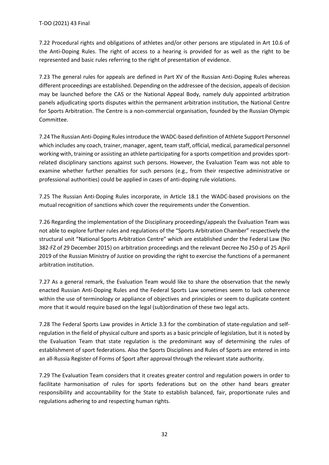7.22 Procedural rights and obligations of athletes and/or other persons are stipulated in Art 10.6 of the Anti-Doping Rules. The right of access to a hearing is provided for as well as the right to be represented and basic rules referring to the right of presentation of evidence.

7.23 The general rules for appeals are defined in Part XV of the Russian Anti-Doping Rules whereas different proceedings are established. Depending on the addressee of the decision, appeals of decision may be launched before the CAS or the National Appeal Body, namely duly appointed arbitration panels adjudicating sports disputes within the permanent arbitration institution, the National Centre for Sports Arbitration. The Centre is a non-commercial organisation, founded by the Russian Olympic Committee.

7.24 The Russian Anti-Doping Rules introduce the WADC-based definition of Athlete Support Personnel which includes any coach, trainer, manager, agent, team staff, official, medical, paramedical personnel working with, training or assisting an athlete participating for a sports competition and provides sportrelated disciplinary sanctions against such persons. However, the Evaluation Team was not able to examine whether further penalties for such persons (e.g., from their respective administrative or professional authorities) could be applied in cases of anti-doping rule violations.

7.25 The Russian Anti-Doping Rules incorporate, in Article 18.1 the WADC-based provisions on the mutual recognition of sanctions which cover the requirements under the Convention.

7.26 Regarding the implementation of the Disciplinary proceedings/appeals the Evaluation Team was not able to explore further rules and regulations of the "Sports Arbitration Chamber" respectively the structural unit "National Sports Arbitration Centre" which are established under the Federal Law (No 382-FZ of 29 December 2015) on arbitration proceedings and the relevant Decree No 250-p of 25 April 2019 of the Russian Ministry of Justice on providing the right to exercise the functions of a permanent arbitration institution.

7.27 As a general remark, the Evaluation Team would like to share the observation that the newly enacted Russian Anti-Doping Rules and the Federal Sports Law sometimes seem to lack coherence within the use of terminology or appliance of objectives and principles or seem to duplicate content more that it would require based on the legal (sub)ordination of these two legal acts.

7.28 The Federal Sports Law provides in Article 3.3 for the combination of state-regulation and selfregulation in the field of physical culture and sports as a basic principle of legislation, but it is noted by the Evaluation Team that state regulation is the predominant way of determining the rules of establishment of sport federations. Also the Sports Disciplines and Rules of Sports are entered in into an all-Russia Register of Forms of Sport after approval through the relevant state authority.

7.29 The Evaluation Team considers that it creates greater control and regulation powers in order to facilitate harmonisation of rules for sports federations but on the other hand bears greater responsibility and accountability for the State to establish balanced, fair, proportionate rules and regulations adhering to and respecting human rights.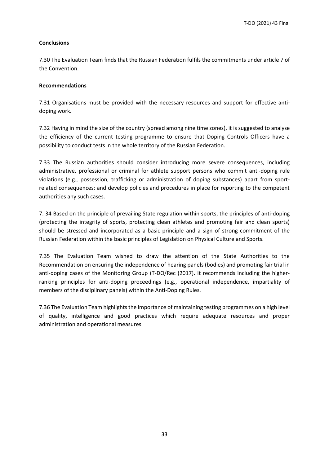### **Conclusions**

7.30 The Evaluation Team finds that the Russian Federation fulfils the commitments under article 7 of the Convention.

#### **Recommendations**

7.31 Organisations must be provided with the necessary resources and support for effective antidoping work.

7.32 Having in mind the size of the country (spread among nine time zones), it is suggested to analyse the efficiency of the current testing programme to ensure that Doping Controls Officers have a possibility to conduct tests in the whole territory of the Russian Federation.

7.33 The Russian authorities should consider introducing more severe consequences, including administrative, professional or criminal for athlete support persons who commit anti-doping rule violations (e.g., possession, trafficking or administration of doping substances) apart from sportrelated consequences; and develop policies and procedures in place for reporting to the competent authorities any such cases.

7. 34 Based on the principle of prevailing State regulation within sports, the principles of anti-doping (protecting the integrity of sports, protecting clean athletes and promoting fair and clean sports) should be stressed and incorporated as a basic principle and a sign of strong commitment of the Russian Federation within the basic principles of Legislation on Physical Culture and Sports.

7.35 The Evaluation Team wished to draw the attention of the State Authorities to the Recommendation on ensuring the independence of hearing panels (bodies) and promoting fair trial in anti-doping cases of the Monitoring Group (T-DO/Rec (2017). It recommends including the higherranking principles for anti-doping proceedings (e.g., operational independence, impartiality of members of the disciplinary panels) within the Anti-Doping Rules.

7.36 The Evaluation Team highlights the importance of maintaining testing programmes on a high level of quality, intelligence and good practices which require adequate resources and proper administration and operational measures.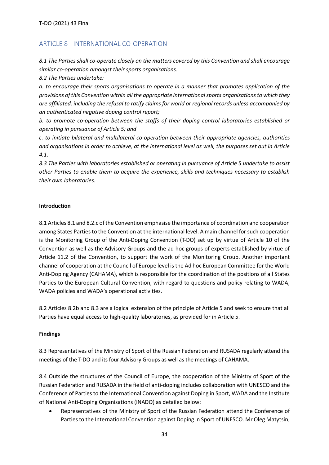# <span id="page-33-0"></span>ARTICLE 8 - INTERNATIONAL CO-OPERATION

*8.1 The Parties shall co-operate closely on the matters covered by this Convention and shall encourage similar co-operation amongst their sports organisations.* 

*8.2 The Parties undertake:* 

*a. to encourage their sports organisations to operate in a manner that promotes application of the provisions of this Convention within all the appropriate international sports organisations to which they are affiliated, including the refusal to ratify claims for world or regional records unless accompanied by an authenticated negative doping control report;* 

*b. to promote co-operation between the staffs of their doping control laboratories established or operating in pursuance of Article 5; and* 

*c. to initiate bilateral and multilateral co-operation between their appropriate agencies, authorities and organisations in order to achieve, at the international level as well, the purposes set out in Article 4.1.* 

*8.3 The Parties with laboratories established or operating in pursuance of Article 5 undertake to assist other Parties to enable them to acquire the experience, skills and techniques necessary to establish their own laboratories.*

## **Introduction**

8.1 Articles 8.1 and 8.2.c of the Convention emphasise the importance of coordination and cooperation among States Parties to the Convention at the international level. A main channel for such cooperation is the Monitoring Group of the Anti-Doping Convention (T-DO) set up by virtue of Article 10 of the Convention as well as the Advisory Groups and the ad hoc groups of experts established by virtue of Article 11.2 of the Convention, to support the work of the Monitoring Group. Another important channel of cooperation at the Council of Europe level is the Ad hoc European Committee for the World Anti-Doping Agency (CAHAMA), which is responsible for the coordination of the positions of all States Parties to the European Cultural Convention, with regard to questions and policy relating to WADA, WADA policies and WADA's operational activities.

8.2 Articles 8.2b and 8.3 are a logical extension of the principle of Article 5 and seek to ensure that all Parties have equal access to high-quality laboratories, as provided for in Article 5.

## **Findings**

8.3 Representatives of the Ministry of Sport of the Russian Federation and RUSADA regularly attend the meetings of the T-DO and its four Advisory Groups as well as the meetings of CAHAMA.

8.4 Outside the structures of the Council of Europe, the cooperation of the Ministry of Sport of the Russian Federation and RUSADA in the field of anti-doping includes collaboration with UNESCO and the Conference of Parties to the International Convention against Doping in Sport, WADA and the Institute of National Anti-Doping Organisations (iNADO) as detailed below:

• Representatives of the Ministry of Sport of the Russian Federation attend the Conference of Parties to the International Convention against Doping in Sport of UNESCO. Mr Oleg Matytsin,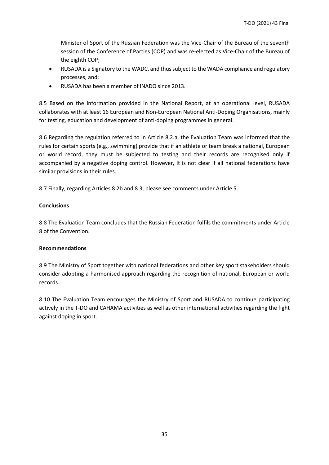Minister of Sport of the Russian Federation was the Vice-Chair of the Bureau of the seventh session of the Conference of Parties (COP) and was re-elected as Vice-Chair of the Bureau of the eighth COP;

- RUSADA is a Signatory to the WADC, and thussubject to the WADA compliance and regulatory processes, and;
- RUSADA has been a member of iNADO since 2013.

8.5 Based on the information provided in the National Report, at an operational level, RUSADA collaborates with at least 16 European and Non-European National Anti-Doping Organisations, mainly for testing, education and development of anti-doping programmes in general.

8.6 Regarding the regulation referred to in Article 8.2.a, the Evaluation Team was informed that the rules for certain sports (e.g., swimming) provide that if an athlete or team break a national, European or world record, they must be subjected to testing and their records are recognised only if accompanied by a negative doping control. However, it is not clear if all national federations have similar provisions in their rules.

8.7 Finally, regarding Articles 8.2b and 8.3, please see comments under Article 5.

#### **Conclusions**

8.8 The Evaluation Team concludes that the Russian Federation fulfils the commitments under Article 8 of the Convention.

#### **Recommendations**

8.9 The Ministry of Sport together with national federations and other key sport stakeholders should consider adopting a harmonised approach regarding the recognition of national, European or world records.

8.10 The Evaluation Team encourages the Ministry of Sport and RUSADA to continue participating actively in the T-DO and CAHAMA activities as well as other international activities regarding the fight against doping in sport.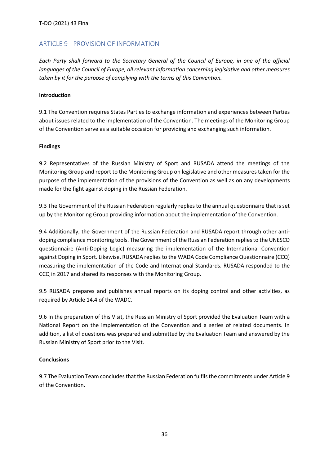# <span id="page-35-0"></span>ARTICLE 9 - PROVISION OF INFORMATION

*Each Party shall forward to the Secretary General of the Council of Europe, in one of the official languages of the Council of Europe, all relevant information concerning legislative and other measures taken by it for the purpose of complying with the terms of this Convention.* 

### **Introduction**

9.1 The Convention requires States Parties to exchange information and experiences between Parties about issues related to the implementation of the Convention. The meetings of the Monitoring Group of the Convention serve as a suitable occasion for providing and exchanging such information.

## **Findings**

9.2 Representatives of the Russian Ministry of Sport and RUSADA attend the meetings of the Monitoring Group and report to the Monitoring Group on legislative and other measures taken for the purpose of the implementation of the provisions of the Convention as well as on any developments made for the fight against doping in the Russian Federation.

9.3 The Government of the Russian Federation regularly replies to the annual questionnaire that is set up by the Monitoring Group providing information about the implementation of the Convention.

9.4 Additionally, the Government of the Russian Federation and RUSADA report through other antidoping compliance monitoring tools. The Government of the Russian Federation replies to the UNESCO questionnaire (Anti-Doping Logic) measuring the implementation of the International Convention against Doping in Sport. Likewise, RUSADA replies to the WADA Code Compliance Questionnaire (CCQ) measuring the implementation of the Code and International Standards. RUSADA responded to the CCQ in 2017 and shared its responses with the Monitoring Group.

9.5 RUSADA prepares and publishes annual reports on its doping control and other activities, as required by Article 14.4 of the WADC.

9.6 In the preparation of this Visit, the Russian Ministry of Sport provided the Evaluation Team with a National Report on the implementation of the Convention and a series of related documents. In addition, a list of questions was prepared and submitted by the Evaluation Team and answered by the Russian Ministry of Sport prior to the Visit.

## **Conclusions**

9.7 The Evaluation Team concludes that the Russian Federation fulfils the commitments under Article 9 of the Convention.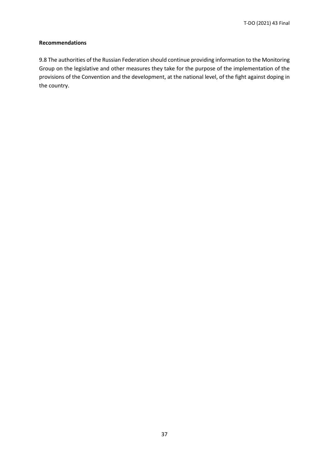## **Recommendations**

9.8 The authorities of the Russian Federation should continue providing information to the Monitoring Group on the legislative and other measures they take for the purpose of the implementation of the provisions of the Convention and the development, at the national level, of the fight against doping in the country.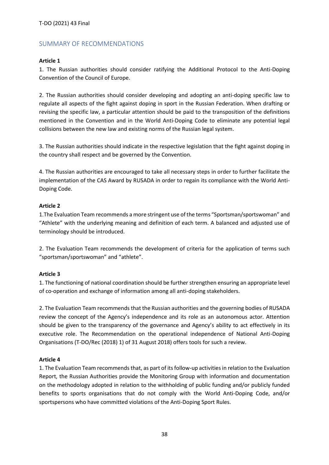# <span id="page-37-0"></span>SUMMARY OF RECOMMENDATIONS

## **Article 1**

1. The Russian authorities should consider ratifying the Additional Protocol to the Anti-Doping Convention of the Council of Europe.

2. The Russian authorities should consider developing and adopting an anti-doping specific law to regulate all aspects of the fight against doping in sport in the Russian Federation. When drafting or revising the specific law, a particular attention should be paid to the transposition of the definitions mentioned in the Convention and in the World Anti-Doping Code to eliminate any potential legal collisions between the new law and existing norms of the Russian legal system.

3. The Russian authorities should indicate in the respective legislation that the fight against doping in the country shall respect and be governed by the Convention.

4. The Russian authorities are encouraged to take all necessary steps in order to further facilitate the implementation of the CAS Award by RUSADA in order to regain its compliance with the World Anti-Doping Code.

## **Article 2**

1.The Evaluation Team recommends a more stringent use of the terms "Sportsman/sportswoman" and "Athlete" with the underlying meaning and definition of each term. A balanced and adjusted use of terminology should be introduced.

2. The Evaluation Team recommends the development of criteria for the application of terms such "sportsman/sportswoman" and "athlete".

## **Article 3**

1. The functioning of national coordination should be further strengthen ensuring an appropriate level of co-operation and exchange of information among all anti-doping stakeholders.

2. The Evaluation Team recommends that the Russian authorities and the governing bodies of RUSADA review the concept of the Agency's independence and its role as an autonomous actor. Attention should be given to the transparency of the governance and Agency's ability to act effectively in its executive role. The Recommendation on the operational independence of National Anti-Doping Organisations (T-DO/Rec (2018) 1) of 31 August 2018) offers tools for such a review.

## **Article 4**

1. The Evaluation Team recommends that, as part of its follow-up activities in relation to the Evaluation Report, the Russian Authorities provide the Monitoring Group with information and documentation on the methodology adopted in relation to the withholding of public funding and/or publicly funded benefits to sports organisations that do not comply with the World Anti-Doping Code, and/or sportspersons who have committed violations of the Anti-Doping Sport Rules.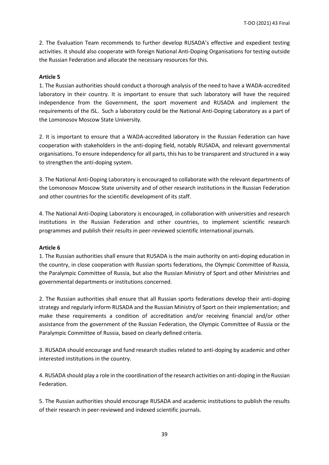2. The Evaluation Team recommends to further develop RUSADA's effective and expedient testing activities. It should also cooperate with foreign National Anti-Doping Organisations for testing outside the Russian Federation and allocate the necessary resources for this.

#### **Article 5**

1. The Russian authorities should conduct a thorough analysis of the need to have a WADA-accredited laboratory in their country. It is important to ensure that such laboratory will have the required independence from the Government, the sport movement and RUSADA and implement the requirements of the ISL. Such a laboratory could be the National Anti-Doping Laboratory as a part of the Lomonosov Moscow State University.

2. It is important to ensure that a WADA-accredited laboratory in the Russian Federation can have cooperation with stakeholders in the anti-doping field, notably RUSADA, and relevant governmental organisations. To ensure independency for all parts, this has to be transparent and structured in a way to strengthen the anti-doping system.

3. The National Anti-Doping Laboratory is encouraged to collaborate with the relevant departments of the Lomonosov Moscow State university and of other research institutions in the Russian Federation and other countries for the scientific development of its staff.

4. The National Anti-Doping Laboratory is encouraged, in collaboration with universities and research institutions in the Russian Federation and other countries, to implement scientific research programmes and publish their results in peer-reviewed scientific international journals.

#### **Article 6**

1. The Russian authorities shall ensure that RUSADA is the main authority on anti-doping education in the country, in close cooperation with Russian sports federations, the Olympic Committee of Russia, the Paralympic Committee of Russia, but also the Russian Ministry of Sport and other Ministries and governmental departments or institutions concerned.

2. The Russian authorities shall ensure that all Russian sports federations develop their anti-doping strategy and regularly inform RUSADA and the Russian Ministry of Sport on their implementation; and make these requirements a condition of accreditation and/or receiving financial and/or other assistance from the government of the Russian Federation, the Olympic Committee of Russia or the Paralympic Committee of Russia, based on clearly defined criteria.

3. RUSADA should encourage and fund research studies related to anti-doping by academic and other interested institutions in the country.

4. RUSADA should play a role in the coordination of the research activities on anti-doping in the Russian Federation.

5. The Russian authorities should encourage RUSADA and academic institutions to publish the results of their research in peer-reviewed and indexed scientific journals.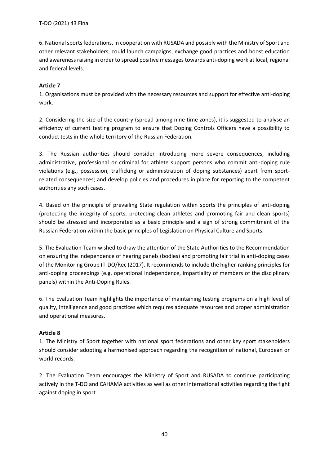6. National sports federations, in cooperation with RUSADA and possibly with the Ministry of Sport and other relevant stakeholders, could launch campaigns, exchange good practices and boost education and awareness raising in order to spread positive messages towards anti-doping work at local, regional and federal levels.

## **Article 7**

1. Organisations must be provided with the necessary resources and support for effective anti-doping work.

2. Considering the size of the country (spread among nine time zones), it is suggested to analyse an efficiency of current testing program to ensure that Doping Controls Officers have a possibility to conduct tests in the whole territory of the Russian Federation.

3. The Russian authorities should consider introducing more severe consequences, including administrative, professional or criminal for athlete support persons who commit anti-doping rule violations (e.g., possession, trafficking or administration of doping substances) apart from sportrelated consequences; and develop policies and procedures in place for reporting to the competent authorities any such cases.

4. Based on the principle of prevailing State regulation within sports the principles of anti-doping (protecting the integrity of sports, protecting clean athletes and promoting fair and clean sports) should be stressed and incorporated as a basic principle and a sign of strong commitment of the Russian Federation within the basic principles of Legislation on Physical Culture and Sports.

5. The Evaluation Team wished to draw the attention of the State Authorities to the Recommendation on ensuring the independence of hearing panels (bodies) and promoting fair trial in anti-doping cases of the Monitoring Group (T-DO/Rec (2017). It recommends to include the higher-ranking principles for anti-doping proceedings (e.g. operational independence, impartiality of members of the disciplinary panels) within the Anti-Doping Rules.

6. The Evaluation Team highlights the importance of maintaining testing programs on a high level of quality, intelligence and good practices which requires adequate resources and proper administration and operational measures.

## **Article 8**

1. The Ministry of Sport together with national sport federations and other key sport stakeholders should consider adopting a harmonised approach regarding the recognition of national, European or world records.

2. The Evaluation Team encourages the Ministry of Sport and RUSADA to continue participating actively in the T-DO and CAHAMA activities as well as other international activities regarding the fight against doping in sport.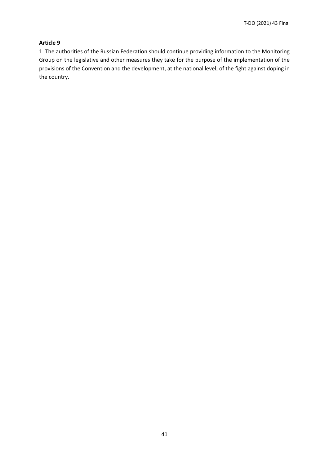## **Article 9**

1. The authorities of the Russian Federation should continue providing information to the Monitoring Group on the legislative and other measures they take for the purpose of the implementation of the provisions of the Convention and the development, at the national level, of the fight against doping in the country.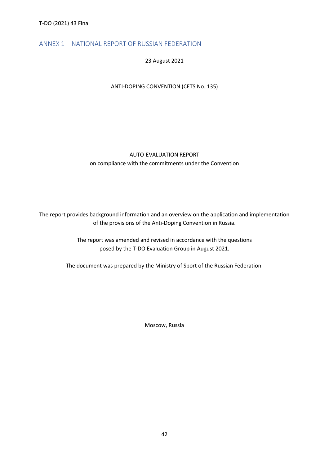T-DO (2021) 43 Final

## <span id="page-41-0"></span>ANNEX 1 – NATIONAL REPORT OF RUSSIAN FEDERATION

### 23 August 2021

ANTI-DOPING CONVENTION (CETS No. 135)

# AUTO-EVALUATION REPORT on compliance with the commitments under the Convention

The report provides background information and an overview on the application and implementation of the provisions of the Anti-Doping Convention in Russia.

> The report was amended and revised in accordance with the questions posed by the T-DO Evaluation Group in August 2021.

The document was prepared by the Ministry of Sport of the Russian Federation.

Moscow, Russia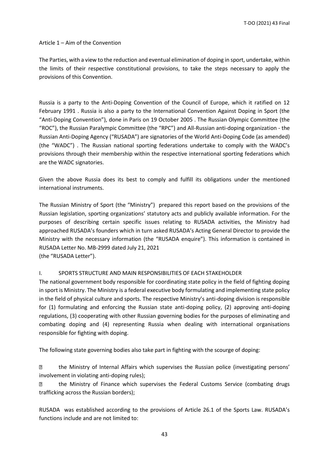T-DO (2021) 43 Final

#### Article 1 – Aim of the Convention

The Parties, with a view to the reduction and eventual elimination of doping in sport, undertake, within the limits of their respective constitutional provisions, to take the steps necessary to apply the provisions of this Convention.

Russia is a party to the Anti-Doping Convention of the Council of Europe, which it ratified on 12 February 1991 . Russia is also a party to the International Convention Against Doping in Sport (the "Anti-Doping Convention"), done in Paris on 19 October 2005 . The Russian Olympic Committee (the "ROC"), the Russian Paralympic Committee (the "RPC") and All-Russian anti-doping organization - the Russian Anti-Doping Agency ("RUSADA") are signatories of the World Anti-Doping Code (as amended) (the "WADC") . The Russian national sporting federations undertake to comply with the WADC's provisions through their membership within the respective international sporting federations which are the WADC signatories.

Given the above Russia does its best to comply and fulfill its obligations under the mentioned international instruments.

The Russian Ministry of Sport (the "Ministry") prepared this report based on the provisions of the Russian legislation, sporting organizations' statutory acts and publicly available information. For the purposes of describing certain specific issues relating to RUSADA activities, the Ministry had approached RUSADA's founders which in turn asked RUSADA's Acting General Director to provide the Ministry with the necessary information (the "RUSADA enquire"). This information is contained in RUSADA Letter No. МВ-2999 dated July 21, 2021 (the "RUSADA Letter").

## I. SPORTS STRUCTURE AND MAIN RESPONSIBILITIES OF EACH STAKEHOLDER

The national government body responsible for coordinating state policy in the field of fighting doping in sport is Ministry. The Ministry is a federal executive body formulating and implementing state policy in the field of physical culture and sports. The respective Ministry's anti-doping division is responsible for (1) formulating and enforcing the Russian state anti-doping policy, (2) approving anti-doping regulations, (3) cooperating with other Russian governing bodies for the purposes of eliminating and combating doping and (4) representing Russia when dealing with international organisations responsible for fighting with doping.

The following state governing bodies also take part in fighting with the scourge of doping:

 $\overline{2}$ the Ministry of Internal Affairs which supervises the Russian police (investigating persons' involvement in violating anti-doping rules);

 $\overline{2}$ the Ministry of Finance which supervises the Federal Customs Service (combating drugs trafficking across the Russian borders);

RUSADA was established according to the provisions of Article 26.1 of the Sports Law. RUSADA's functions include and are not limited to: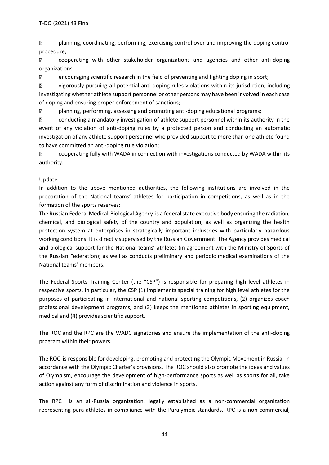$\overline{?}$ planning, coordinating, performing, exercising control over and improving the doping control procedure;

 $\overline{?}$ cooperating with other stakeholder organizations and agencies and other anti-doping organizations;

 $\overline{?}$ encouraging scientific research in the field of preventing and fighting doping in sport;

vigorously pursuing all potential anti-doping rules violations within its jurisdiction, including  $\overline{?}$ investigating whether athlete support personnel or other persons may have been involved in each case of doping and ensuring proper enforcement of sanctions;

 $\boxed{2}$ planning, performing, assessing and promoting anti-doping educational programs;

 $\overline{?}$ conducting a mandatory investigation of athlete support personnel within its authority in the event of any violation of anti-doping rules by a protected person and conducting an automatic investigation of any athlete support personnel who provided support to more than one athlete found to have committed an anti-doping rule violation;

cooperating fully with WADA in connection with investigations conducted by WADA within its  $\overline{?}$ authority.

## Update

In addition to the above mentioned authorities, the following institutions are involved in the preparation of the National teams' athletes for participation in competitions, as well as in the formation of the sports reserves:

The Russian Federal Medical-Biological Agency is a federal state executive body ensuring the radiation, chemical, and biological safety of the country and population, as well as organizing the health protection system at enterprises in strategically important industries with particularly hazardous working conditions. It is directly supervised by the Russian Government. The Agency provides medical and biological support for the National teams' athletes (in agreement with the Ministry of Sports of the Russian Federation); as well as conducts preliminary and periodic medical examinations of the National teams' members.

The Federal Sports Training Center (the "CSP") is responsible for preparing high level athletes in respective sports. In particular, the CSP (1) implements special training for high level athletes for the purposes of participating in international and national sporting competitions, (2) organizes coach professional development programs, and (3) keeps the mentioned athletes in sporting equipment, medical and (4) provides scientific support.

The ROC and the RPC are the WADC signatories and ensure the implementation of the anti-doping program within their powers.

The ROC is responsible for developing, promoting and protecting the Olympic Movement in Russia, in accordance with the Olympic Charter's provisions. The ROC should also promote the ideas and values of Olympism, encourage the development of high-performance sports as well as sports for all, take action against any form of discrimination and violence in sports.

The RPC is an all-Russia organization, legally established as a non-commercial organization representing para-athletes in compliance with the Paralympic standards. RPC is a non-commercial,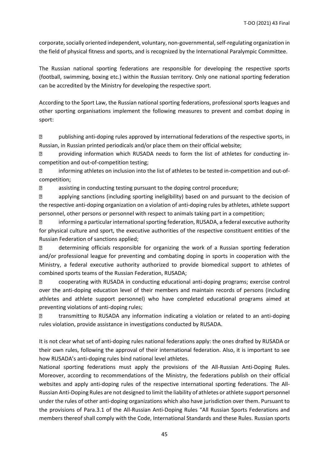corporate, socially oriented independent, voluntary, non-governmental, self-regulating organization in the field of physical fitness and sports, and is recognized by the International Paralympic Committee.

The Russian national sporting federations are responsible for developing the respective sports (football, swimming, boxing etc.) within the Russian territory. Only one national sporting federation can be accredited by the Ministry for developing the respective sport.

According to the Sport Law, the Russian national sporting federations, professional sports leagues and other sporting organisations implement the following measures to prevent and combat doping in sport:

 $\overline{2}$ publishing anti-doping rules approved by international federations of the respective sports, in Russian, in Russian printed periodicals and/or place them on their official website;

providing information which RUSADA needs to form the list of athletes for conducting in- $\overline{?}$ competition and out-of-competition testing;

 $\overline{2}$ informing athletes on inclusion into the list of athletes to be tested in-competition and out-ofcompetition;

 $\boxed{2}$ assisting in conducting testing pursuant to the doping control procedure;

applying sanctions (including sporting ineligibility) based on and pursuant to the decision of  $\overline{2}$ the respective anti-doping organization on a violation of anti-doping rules by athletes, athlete support personnel, other persons or personnel with respect to animals taking part in a competition;

 $\overline{?}$ informing a particular international sporting federation, RUSADA, a federal executive authority for physical culture and sport, the executive authorities of the respective constituent entities of the Russian Federation of sanctions applied;

determining officials responsible for organizing the work of a Russian sporting federation  $\overline{2}$ and/or professional league for preventing and combating doping in sports in cooperation with the Ministry, a federal executive authority authorized to provide biomedical support to athletes of combined sports teams of the Russian Federation, RUSADA;

 $\overline{2}$ cooperating with RUSADA in conducting educational anti-doping programs; exercise control over the anti-doping education level of their members and maintain records of persons (including athletes and athlete support personnel) who have completed educational programs aimed at preventing violations of anti-doping rules;

transmitting to RUSADA any information indicating a violation or related to an anti-doping  $\boxed{2}$ rules violation, provide assistance in investigations conducted by RUSADA.

It is not clear what set of anti-doping rules national federations apply: the ones drafted by RUSADA or their own rules, following the approval of their international federation. Also, it is important to see how RUSADA's anti-doping rules bind national level athletes.

National sporting federations must apply the provisions of the All-Russian Anti-Doping Rules. Moreover, according to recommendations of the Ministry, the federations publish on their official websites and apply anti-doping rules of the respective international sporting federations. The All-Russian Anti-Doping Rules are not designed to limit the liability of athletes or athlete support personnel under the rules of other anti-doping organizations which also have jurisdiction over them. Pursuant to the provisions of Para.3.1 of the All-Russian Anti-Doping Rules "All Russian Sports Federations and members thereof shall comply with the Code, International Standards and these Rules. Russian sports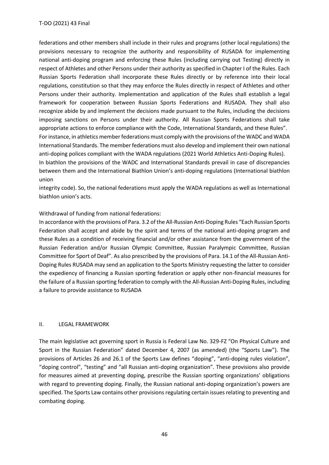federations and other members shall include in their rules and programs (other local regulations) the provisions necessary to recognize the authority and responsibility of RUSADA for implementing national anti-doping program and enforcing these Rules (including carrying out Testing) directly in respect of Athletes and other Persons under their authority as specified in Chapter I of the Rules. Each Russian Sports Federation shall incorporate these Rules directly or by reference into their local regulations, constitution so that they may enforce the Rules directly in respect of Athletes and other Persons under their authority. Implementation and application of the Rules shall establish a legal framework for cooperation between Russian Sports Federations and RUSADA. They shall also recognize abide by and implement the decisions made pursuant to the Rules, including the decisions imposing sanctions on Persons under their authority. All Russian Sports Federations shall take appropriate actions to enforce compliance with the Code, International Standards, and these Rules". For instance, in athletics member federations must comply with the provisions of the WADC and WADA International Standards. The member federations must also develop and implement their own national anti-doping polices compliant with the WADA regulations (2021 World Athletics Anti-Doping Rules). In biathlon the provisions of the WADC and International Standards prevail in case of discrepancies between them and the International Biathlon Union's anti-doping regulations (International biathlon union

integrity code). So, the national federations must apply the WADA regulations as well as International biathlon union's acts.

## Withdrawal of funding from national federations:

In accordance with the provisions of Para. 3.2 of the All-Russian Anti-Doping Rules "Each Russian Sports Federation shall accept and abide by the spirit and terms of the national anti-doping program and these Rules as a condition of receiving financial and/or other assistance from the government of the Russian Federation and/or Russian Olympic Committee, Russian Paralympic Committee, Russian Committee for Sport of Deaf". As also prescribed by the provisions of Para. 14.1 of the All-Russian Anti-Doping Rules RUSADA may send an application to the Sports Ministry requesting the latter to consider the expediency of financing a Russian sporting federation or apply other non-financial measures for the failure of a Russian sporting federation to comply with the All-Russian Anti-Doping Rules, including a failure to provide assistance to RUSADA

#### II. LEGAL FRAMEWORK

The main legislative act governing sport in Russia is Federal Law No. 329-FZ "On Physical Culture and Sport in the Russian Federation" dated December 4, 2007 (as amended) (the "Sports Law"). The provisions of Articles 26 and 26.1 of the Sports Law defines "doping", "anti-doping rules violation", "doping control", "testing" and "all Russian anti-doping organization". These provisions also provide for measures aimed at preventing doping, prescribe the Russian sporting organizations' obligations with regard to preventing doping. Finally, the Russian national anti-doping organization's powers are specified. The Sports Law contains other provisions regulating certain issues relating to preventing and combating doping.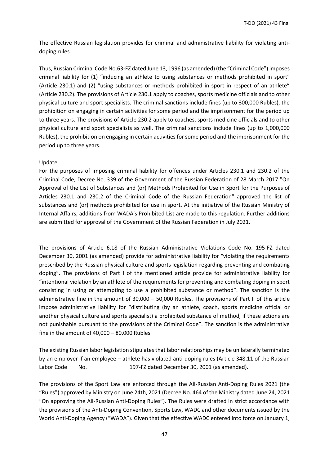The effective Russian legislation provides for criminal and administrative liability for violating antidoping rules.

Thus, Russian Criminal Code No.63-FZ dated June 13, 1996 (as amended) (the "Criminal Code") imposes criminal liability for (1) "inducing an athlete to using substances or methods prohibited in sport" (Article 230.1) and (2) "using substances or methods prohibited in sport in respect of an athlete" (Article 230.2). The provisions of Article 230.1 apply to coaches, sports medicine officials and to other physical culture and sport specialists. The criminal sanctions include fines (up to 300,000 Rubles), the prohibition on engaging in certain activities for some period and the imprisonment for the period up to three years. The provisions of Article 230.2 apply to coaches, sports medicine officials and to other physical culture and sport specialists as well. The criminal sanctions include fines (up to 1,000,000 Rubles), the prohibition on engaging in certain activities for some period and the imprisonment for the period up to three years.

#### Update

For the purposes of imposing criminal liability for offences under Articles 230.1 and 230.2 of the Criminal Code, Decree No. 339 of the Government of the Russian Federation of 28 March 2017 "On Approval of the List of Substances and (or) Methods Prohibited for Use in Sport for the Purposes of Articles 230.1 and 230.2 of the Criminal Code of the Russian Federation" approved the list of substances and (or) methods prohibited for use in sport. At the initiative of the Russian Ministry of Internal Affairs, additions from WADA's Prohibited List are made to this regulation. Further additions are submitted for approval of the Government of the Russian Federation in July 2021.

The provisions of Article 6.18 of the Russian Administrative Violations Code No. 195-FZ dated December 30, 2001 (as amended) provide for administrative liability for "violating the requirements prescribed by the Russian physical culture and sports legislation regarding preventing and combating doping". The provisions of Part I of the mentioned article provide for administrative liability for "intentional violation by an athlete of the requirements for preventing and combating doping in sport consisting in using or attempting to use a prohibited substance or method". The sanction is the administrative fine in the amount of 30,000 – 50,000 Rubles. The provisions of Part II of this article impose administrative liability for "distributing (by an athlete, coach, sports medicine official or another physical culture and sports specialist) a prohibited substance of method, if these actions are not punishable pursuant to the provisions of the Criminal Code". The sanction is the administrative fine in the amount of 40,000 – 80,000 Rubles.

The existing Russian labor legislation stipulates that labor relationships may be unilaterally terminated by an employer if an employee – athlete has violated anti-doping rules (Article 348.11 of the Russian Labor Code No. 197-FZ dated December 30, 2001 (as amended).

The provisions of the Sport Law are enforced through the All-Russian Anti-Doping Rules 2021 (the "Rules") approved by Ministry on June 24th, 2021 (Decree No. 464 of the Ministry dated June 24, 2021 "On approving the All-Russian Anti-Doping Rules"). The Rules were drafted in strict accordance with the provisions of the Anti-Doping Convention, Sports Law, WADC and other documents issued by the World Anti-Doping Agency ("WADA"). Given that the effective WADC entered into force on January 1,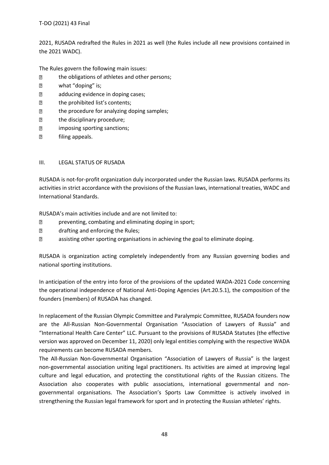2021, RUSADA redrafted the Rules in 2021 as well (the Rules include all new provisions contained in the 2021 WADC).

The Rules govern the following main issues:

- $\overline{?}$ the obligations of athletes and other persons;
- what "doping" is;  $\overline{2}$
- adducing evidence in doping cases;  $\overline{2}$
- $\boxed{2}$ the prohibited list's contents;
- $\overline{?}$ the procedure for analyzing doping samples;
- $\overline{?}$ the disciplinary procedure;
- $\overline{2}$ imposing sporting sanctions;
- $\overline{2}$ filing appeals.

## III. LEGAL STATUS OF RUSADA

RUSADA is not-for-profit organization duly incorporated under the Russian laws. RUSADA performs its activities in strict accordance with the provisions of the Russian laws, international treaties, WADC and International Standards.

RUSADA's main activities include and are not limited to:

- $\overline{?}$ preventing, combating and eliminating doping in sport;
- $\overline{2}$ drafting and enforcing the Rules;
- $\overline{2}$ assisting other sporting organisations in achieving the goal to eliminate doping.

RUSADA is organization acting completely independently from any Russian governing bodies and national sporting institutions.

In anticipation of the entry into force of the provisions of the updated WADA-2021 Code concerning the operational independence of National Anti-Doping Agencies (Art.20.5.1), the composition of the founders (members) of RUSADA has changed.

In replacement of the Russian Olympic Committee and Paralympic Committee, RUSADA founders now are the All-Russian Non-Governmental Organisation "Association of Lawyers of Russia" and "International Health Care Center" LLC. Pursuant to the provisions of RUSADA Statutes (the effective version was approved on December 11, 2020) only legal entities complying with the respective WADA requirements can become RUSADA members.

The All-Russian Non-Governmental Organisation "Association of Lawyers of Russia" is the largest non‑governmental association uniting legal practitioners. Its activities are aimed at improving legal culture and legal education, and protecting the constitutional rights of the Russian citizens. The Association also cooperates with public associations, international governmental and nongovernmental organisations. The Association's Sports Law Committee is actively involved in strengthening the Russian legal framework for sport and in protecting the Russian athletes' rights.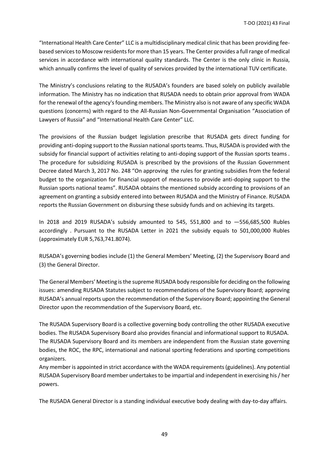"International Health Care Center" LLC is a multidisciplinary medical clinic that has been providing feebased services to Moscow residents for more than 15 years. The Center provides a full range of medical services in accordance with international quality standards. The Center is the only clinic in Russia, which annually confirms the level of quality of services provided by the international TUV certificate.

The Ministry's conclusions relating to the RUSADA's founders are based solely on publicly available information. The Ministry has no indication that RUSADA needs to obtain prior approval from WADA for the renewal of the agency's founding members. The Ministry also is not aware of any specific WADA questions (concerns) with regard to the All-Russian Non-Governmental Organisation "Association of Lawyers of Russia" and "International Health Care Center" LLC.

The provisions of the Russian budget legislation prescribe that RUSADA gets direct funding for providing anti-doping support to the Russian national sports teams. Thus, RUSADA is provided with the subsidy for financial support of activities relating to anti-doping support of the Russian sports teams . The procedure for subsidizing RUSADA is prescribed by the provisions of the Russian Government Decree dated March 3, 2017 No. 248 "On approving the rules for granting subsidies from the federal budget to the organization for financial support of measures to provide anti-doping support to the Russian sports national teams". RUSADA obtains the mentioned subsidy according to provisions of an agreement on granting a subsidy entered into between RUSADA and the Ministry of Finance. RUSADA reports the Russian Government on disbursing these subsidy funds and on achieving its targets.

In 2018 and 2019 RUSADA's subsidy amounted to 545, 551,800 and to  $-556,685,500$  Rubles accordingly . Pursuant to the RUSADA Letter in 2021 the subsidy equals to 501,000,000 Rubles (approximately EUR 5,763,741.8074).

RUSADA's governing bodies include (1) the General Members' Meeting, (2) the Supervisory Board and (3) the General Director.

The General Members' Meeting is the supreme RUSADA body responsible for deciding on the following issues: amending RUSADA Statutes subject to recommendations of the Supervisory Board; approving RUSADA's annual reports upon the recommendation of the Supervisory Board; appointing the General Director upon the recommendation of the Supervisory Board, etc.

The RUSADA Supervisory Board is a collective governing body controlling the other RUSADA executive bodies. The RUSADA Supervisory Board also provides financial and informational support to RUSADA. The RUSADA Supervisory Board and its members are independent from the Russian state governing bodies, the ROC, the RPC, international and national sporting federations and sporting competitions organizers.

Any member is appointed in strict accordance with the WADA requirements (guidelines). Any potential RUSADA Supervisory Board member undertakes to be impartial and independent in exercising his / her powers.

The RUSADA General Director is a standing individual executive body dealing with day-to-day affairs.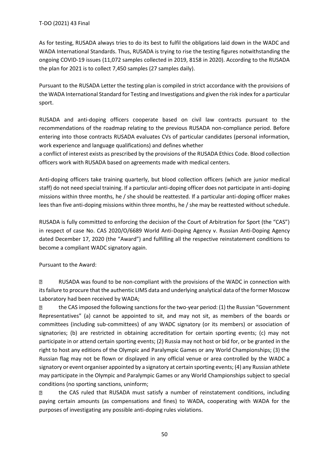As for testing, RUSADA always tries to do its best to fulfil the obligations laid down in the WADC and WADA International Standards. Thus, RUSADA is trying to rise the testing figures notwithstanding the ongoing COVID-19 issues (11,072 samples collected in 2019, 8158 in 2020). According to the RUSADA the plan for 2021 is to collect 7,450 samples (27 samples daily).

Pursuant to the RUSADA Letter the testing plan is compiled in strict accordance with the provisions of the WADA International Standard for Testing and Investigations and given the risk index for a particular sport.

RUSADA and anti-doping officers cooperate based on civil law contracts pursuant to the recommendations of the roadmap relating to the previous RUSADA non-compliance period. Before entering into those contracts RUSADA evaluates CVs of particular candidates (personal information, work experience and language qualifications) and defines whether

a conflict of interest exists as prescribed by the provisions of the RUSADA Ethics Code. Blood collection officers work with RUSADA based on agreements made with medical centers.

Anti-doping officers take training quarterly, but blood collection officers (which are junior medical staff) do not need special training. If a particular anti-doping officer does not participate in anti-doping missions within three months, he / she should be reattested. If a particular anti-doping officer makes lees than five anti-doping missions within three months, he / she may be reattested without schedule.

RUSADA is fully committed to enforcing the decision of the Court of Arbitration for Sport (the "CAS") in respect of case No. CAS 2020/O/6689 World Anti-Doping Agency v. Russian Anti-Doping Agency dated December 17, 2020 (the "Award") and fulfilling all the respective reinstatement conditions to become a compliant WADC signatory again.

Pursuant to the Award:

 $\overline{2}$ RUSADA was found to be non-compliant with the provisions of the WADC in connection with its failure to procure that the authentic LIMS data and underlying analytical data of the former Moscow Laboratory had been received by WADA;

 $\overline{2}$ the CAS imposed the following sanctions for the two-year period: (1) the Russian "Government Representatives" (a) cannot be appointed to sit, and may not sit, as members of the boards or committees (including sub-committees) of any WADC signatory (or its members) or association of signatories; (b) are restricted in obtaining accreditation for certain sporting events; (c) may not participate in or attend certain sporting events; (2) Russia may not host or bid for, or be granted in the right to host any editions of the Olympic and Paralympic Games or any World Championships; (3) the Russian flag may not be flown or displayed in any official venue or area controlled by the WADC a signatory or event organiser appointed by a signatory at certain sporting events; (4) any Russian athlete may participate in the Olympic and Paralympic Games or any World Championships subject to special conditions (no sporting sanctions, uninform;

the CAS ruled that RUSADA must satisfy a number of reinstatement conditions, including  $\overline{?}$ paying certain amounts (as compensations and fines) to WADA, cooperating with WADA for the purposes of investigating any possible anti-doping rules violations.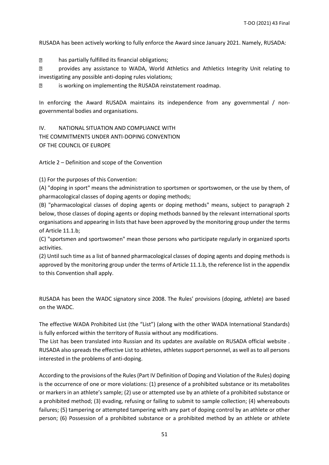RUSADA has been actively working to fully enforce the Award since January 2021. Namely, RUSADA:

 $\overline{?}$ has partially fulfilled its financial obligations;

 $\overline{?}$ provides any assistance to WADA, World Athletics and Athletics Integrity Unit relating to investigating any possible anti-doping rules violations;

is working on implementing the RUSADA reinstatement roadmap.  $\overline{2}$ 

In enforcing the Award RUSADA maintains its independence from any governmental / nongovernmental bodies and organisations.

IV. NATIONAL SITUATION AND COMPLIANCE WITH THE COMMITMENTS UNDER ANTI-DOPING CONVENTION OF THE COUNCIL OF EUROPE

Article 2 – Definition and scope of the Convention

(1) For the purposes of this Convention:

(A) "doping in sport" means the administration to sportsmen or sportswomen, or the use by them, of pharmacological classes of doping agents or doping methods;

(B) "pharmacological classes of doping agents or doping methods" means, subject to paragraph 2 below, those classes of doping agents or doping methods banned by the relevant international sports organisations and appearing in lists that have been approved by the monitoring group under the terms of Article 11.1.b;

(C) "sportsmen and sportswomen" mean those persons who participate regularly in organized sports activities.

(2) Until such time as a list of banned pharmacological classes of doping agents and doping methods is approved by the monitoring group under the terms of Article 11.1.b, the reference list in the appendix to this Convention shall apply.

RUSADA has been the WADC signatory since 2008. The Rules' provisions (doping, athlete) are based on the WADC.

The effective WADA Prohibited List (the "List") (along with the other WADA International Standards) is fully enforced within the territory of Russia without any modifications.

The List has been translated into Russian and its updates are available on RUSADA official website . RUSADA also spreads the effective List to athletes, athletes support personnel, as well as to all persons interested in the problems of anti-doping.

According to the provisions of the Rules (Part IV Definition of Doping and Violation of the Rules) doping is the occurrence of one or more violations: (1) presence of a prohibited substance or its metabolites or markers in an athlete's sample; (2) use or attempted use by an athlete of a prohibited substance or a prohibited method; (3) evading, refusing or failing to submit to sample collection; (4) whereabouts failures; (5) tampering or attempted tampering with any part of doping control by an athlete or other person; (6) Possession of a prohibited substance or a prohibited method by an athlete or athlete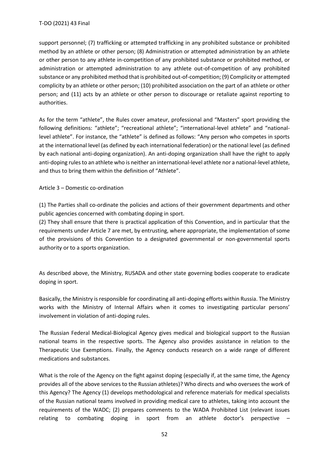support personnel; (7) trafficking or attempted trafficking in any prohibited substance or prohibited method by an athlete or other person; (8) Administration or attempted administration by an athlete or other person to any athlete in-competition of any prohibited substance or prohibited method, or administration or attempted administration to any athlete out-of-competition of any prohibited substance or any prohibited method that is prohibited out-of-competition; (9) Complicity or attempted complicity by an athlete or other person; (10) prohibited association on the part of an athlete or other person; and (11) acts by an athlete or other person to discourage or retaliate against reporting to authorities.

As for the term "athlete", the Rules cover amateur, professional and "Masters" sport providing the following definitions: "athlete"; "recreational athlete"; "international-level athlete" and "nationallevel athlete". For instance, the "athlete" is defined as follows: "Any person who competes in sports at the international level (as defined by each international federation) or the national level (as defined by each national anti-doping organization). An anti-doping organization shall have the right to apply anti-doping rules to an athlete who is neither an international-level athlete nor a national-level athlete, and thus to bring them within the definition of "Athlete".

Article 3 – Domestic co-ordination

(1) The Parties shall co-ordinate the policies and actions of their government departments and other public agencies concerned with combating doping in sport.

(2) They shall ensure that there is practical application of this Convention, and in particular that the requirements under Article 7 are met, by entrusting, where appropriate, the implementation of some of the provisions of this Convention to a designated governmental or non-governmental sports authority or to a sports organization.

As described above, the Ministry, RUSADA and other state governing bodies cooperate to eradicate doping in sport.

Basically, the Ministry is responsible for coordinating all anti-doping efforts within Russia. The Ministry works with the Ministry of Internal Affairs when it comes to investigating particular persons' involvement in violation of anti-doping rules.

The Russian Federal Medical-Biological Agency gives medical and biological support to the Russian national teams in the respective sports. The Agency also provides assistance in relation to the Therapeutic Use Exemptions. Finally, the Agency conducts research on a wide range of different medications and substances.

What is the role of the Agency on the fight against doping (especially if, at the same time, the Agency provides all of the above services to the Russian athletes)? Who directs and who oversees the work of this Agency? The Agency (1) develops methodological and reference materials for medical specialists of the Russian national teams involved in providing medical care to athletes, taking into account the requirements of the WADC; (2) prepares comments to the WADA Prohibited List (relevant issues relating to combating doping in sport from an athlete doctor's perspective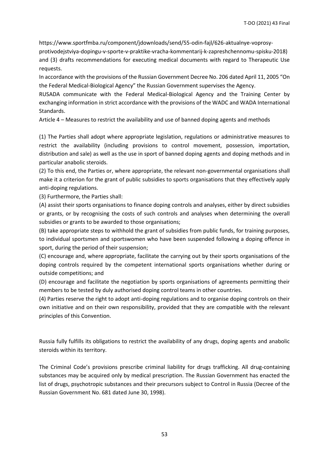https://www.sportfmba.ru/component/jdownloads/send/55-odin-fajl/626-aktualnye-voprosyprotivodejstviya-dopingu-v-sporte-v-praktike-vracha-kommentarij-k-zapreshchennomu-spisku-2018) and (3) drafts recommendations for executing medical documents with regard to Therapeutic Use requests.

In accordance with the provisions of the Russian Government Decree No. 206 dated April 11, 2005 "On the Federal Medical-Biological Agency" the Russian Government supervises the Agency.

RUSADA communicate with the Federal Medical-Biological Agency and the Training Center by exchanging information in strict accordance with the provisions of the WADC and WADA International Standards.

Article 4 – Measures to restrict the availability and use of banned doping agents and methods

(1) The Parties shall adopt where appropriate legislation, regulations or administrative measures to restrict the availability (including provisions to control movement, possession, importation, distribution and sale) as well as the use in sport of banned doping agents and doping methods and in particular anabolic steroids.

(2) To this end, the Parties or, where appropriate, the relevant non-governmental organisations shall make it a criterion for the grant of public subsidies to sports organisations that they effectively apply anti-doping regulations.

(3) Furthermore, the Parties shall:

(A) assist their sports organisations to finance doping controls and analyses, either by direct subsidies or grants, or by recognising the costs of such controls and analyses when determining the overall subsidies or grants to be awarded to those organisations;

(B) take appropriate steps to withhold the grant of subsidies from public funds, for training purposes, to individual sportsmen and sportswomen who have been suspended following a doping offence in sport, during the period of their suspension;

(C) encourage and, where appropriate, facilitate the carrying out by their sports organisations of the doping controls required by the competent international sports organisations whether during or outside competitions; and

(D) encourage and facilitate the negotiation by sports organisations of agreements permitting their members to be tested by duly authorised doping control teams in other countries.

(4) Parties reserve the right to adopt anti-doping regulations and to organise doping controls on their own initiative and on their own responsibility, provided that they are compatible with the relevant principles of this Convention.

Russia fully fulfills its obligations to restrict the availability of any drugs, doping agents and anabolic steroids within its territory.

The Criminal Code's provisions prescribe criminal liability for drugs trafficking. All drug-containing substances may be acquired only by medical prescription. The Russian Government has enacted the list of drugs, psychotropic substances and their precursors subject to Control in Russia (Decree of the Russian Government No. 681 dated June 30, 1998).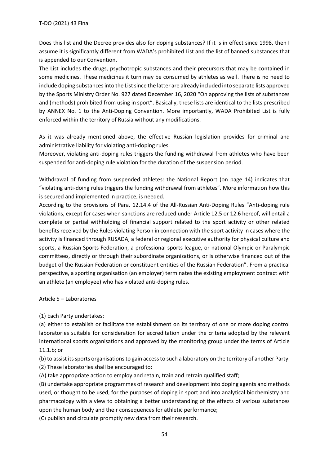Does this list and the Decree provides also for doping substances? If it is in effect since 1998, then I assume it is significantly different from WADA's prohibited List and the list of banned substances that is appended to our Convention.

The List includes the drugs, psychotropic substances and their precursors that may be contained in some medicines. These medicines it turn may be consumed by athletes as well. There is no need to include doping substances into the List since the latter are already included into separate lists approved by the Sports Ministry Order No. 927 dated December 16, 2020 "On approving the lists of substances and (methods) prohibited from using in sport". Basically, these lists are identical to the lists prescribed by ANNEX No. 1 to the Anti-Doping Convention. More importantly, WADA Prohibited List is fully enforced within the territory of Russia without any modifications.

As it was already mentioned above, the effective Russian legislation provides for criminal and administrative liability for violating anti-doping rules.

Moreover, violating anti-doping rules triggers the funding withdrawal from athletes who have been suspended for anti-doping rule violation for the duration of the suspension period.

Withdrawal of funding from suspended athletes: the National Report (on page 14) indicates that "violating anti-doing rules triggers the funding withdrawal from athletes". More information how this is secured and implemented in practice, is needed.

According to the provisions of Para. 12.14.4 of the All-Russian Anti-Doping Rules "Anti-doping rule violations, except for cases when sanctions are reduced under Article 12.5 or 12.6 hereof, will entail a complete or partial withholding of financial support related to the sport activity or other related benefits received by the Rules violating Person in connection with the sport activity in cases where the activity is financed through RUSADA, a federal or regional executive authority for physical culture and sports, a Russian Sports Federation, a professional sports league, or national Olympic or Paralympic committees, directly or through their subordinate organizations, or is otherwise financed out of the budget of the Russian Federation or constituent entities of the Russian Federation". From a practical perspective, a sporting organisation (an employer) terminates the existing employment contract with an athlete (an employee) who has violated anti-doping rules.

Article 5 – Laboratories

(1) Each Party undertakes:

(a) either to establish or facilitate the establishment on its territory of one or more doping control laboratories suitable for consideration for accreditation under the criteria adopted by the relevant international sports organisations and approved by the monitoring group under the terms of Article 11.1.b; or

(b) to assist its sports organisations to gain access to such a laboratory on the territory of another Party. (2) These laboratories shall be encouraged to:

(A) take appropriate action to employ and retain, train and retrain qualified staff;

(B) undertake appropriate programmes of research and development into doping agents and methods used, or thought to be used, for the purposes of doping in sport and into analytical biochemistry and pharmacology with a view to obtaining a better understanding of the effects of various substances upon the human body and their consequences for athletic performance;

(C) publish and circulate promptly new data from their research.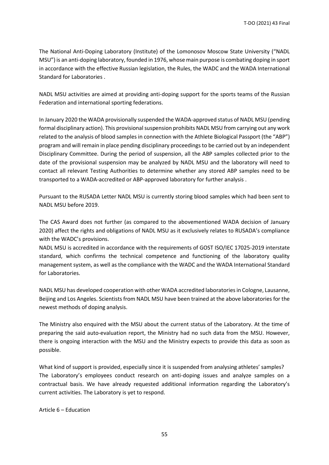The National Anti-Doping Laboratory (Institute) of the Lomonosov Moscow State University ("NADL MSU") is an anti-doping laboratory, founded in 1976, whose main purpose is combating doping in sport in accordance with the effective Russian legislation, the Rules, the WADC and the WADA International Standard for Laboratories .

NADL MSU activities are aimed at providing anti-doping support for the sports teams of the Russian Federation and international sporting federations.

In January 2020 the WADA provisionally suspended the WADA-approved status of NADL MSU (pending formal disciplinary action). This provisional suspension prohibits NADL MSU from carrying out any work related to the analysis of blood samples in connection with the Athlete Biological Passport (the "ABP") program and will remain in place pending disciplinary proceedings to be carried out by an independent Disciplinary Committee. During the period of suspension, all the ABP samples collected prior to the date of the provisional suspension may be analyzed by NADL MSU and the laboratory will need to contact all relevant Testing Authorities to determine whether any stored ABP samples need to be transported to a WADA-accredited or ABP-approved laboratory for further analysis .

Pursuant to the RUSADA Letter NADL MSU is currently storing blood samples which had been sent to NADL MSU before 2019.

The CAS Award does not further (as compared to the abovementioned WADA decision of January 2020) affect the rights and obligations of NADL MSU as it exclusively relates to RUSADA's compliance with the WADC's provisions.

NADL MSU is accredited in accordance with the requirements of GOST ISO/IEC 17025-2019 interstate standard, which confirms the technical competence and functioning of the laboratory quality management system, as well as the compliance with the WADC and the WADA International Standard for Laboratories.

NADL MSU has developed cooperation with other WADA accredited laboratories in Cologne, Lausanne, Beijing and Los Angeles. Scientists from NADL MSU have been trained at the above laboratories for the newest methods of doping analysis.

The Ministry also enquired with the MSU about the current status of the Laboratory. At the time of preparing the said auto-evaluation report, the Ministry had no such data from the MSU. However, there is ongoing interaction with the MSU and the Ministry expects to provide this data as soon as possible.

What kind of support is provided, especially since it is suspended from analysing athletes' samples? The Laboratory's employees conduct research on anti-doping issues and analyze samples on a contractual basis. We have already requested additional information regarding the Laboratory's current activities. The Laboratory is yet to respond.

Article 6 – Education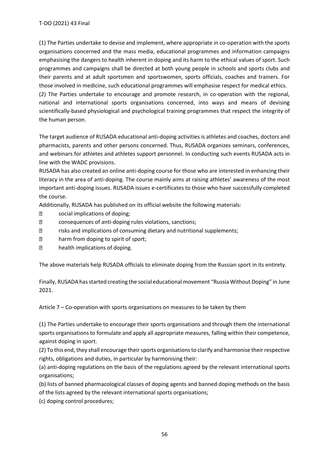(1) The Parties undertake to devise and implement, where appropriate in co-operation with the sports organisations concerned and the mass media, educational programmes and information campaigns emphasising the dangers to health inherent in doping and its harm to the ethical values of sport. Such programmes and campaigns shall be directed at both young people in schools and sports clubs and their parents and at adult sportsmen and sportswomen, sports officials, coaches and trainers. For those involved in medicine, such educational programmes will emphasise respect for medical ethics.

(2) The Parties undertake to encourage and promote research, in co-operation with the regional, national and international sports organisations concerned, into ways and means of devising scientifically-based physiological and psychological training programmes that respect the integrity of the human person.

The target audience of RUSADA educational anti-doping activities is athletes and coaches, doctors and pharmacists, parents and other persons concerned. Thus, RUSADA organizes seminars, conferences, and webinars for athletes and athletes support personnel. In conducting such events RUSADA acts in line with the WADC provisions.

RUSADA has also created an online anti-doping course for those who are interested in enhancing their literacy in the area of anti-doping. The course mainly aims at raising athletes' awareness of the most important anti-doping issues. RUSADA issues e-certificates to those who have successfully completed the course.

Additionally, RUSADA has published on its official website the following materials:

- $\overline{?}$ social implications of doping;
- $\overline{?}$ consequences of anti-doping rules violations, sanctions;
- risks and implications of consuming dietary and nutritional supplements;  $\overline{2}$
- $\overline{2}$ harm from doping to spirit of sport;
- $\overline{2}$ health implications of doping.

The above materials help RUSADA officials to eliminate doping from the Russian sport in its entirety.

Finally, RUSADA has started creating the social educational movement "Russia Without Doping" in June 2021.

Article 7 – Co-operation with sports organisations on measures to be taken by them

(1) The Parties undertake to encourage their sports organisations and through them the international sports organisations to formulate and apply all appropriate measures, falling within their competence, against doping in sport.

(2) To this end, they shall encourage their sports organisations to clarify and harmonise their respective rights, obligations and duties, in particular by harmonising their:

(a) anti-doping regulations on the basis of the regulations agreed by the relevant international sports organisations;

(b) lists of banned pharmacological classes of doping agents and banned doping methods on the basis of the lists agreed by the relevant international sports organisations;

(c) doping control procedures;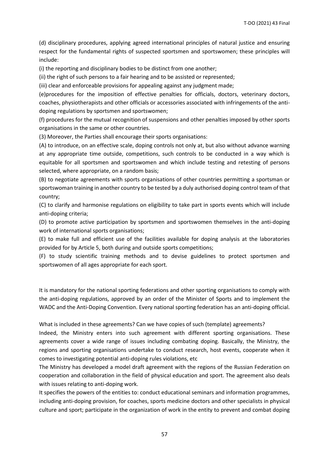(d) disciplinary procedures, applying agreed international principles of natural justice and ensuring respect for the fundamental rights of suspected sportsmen and sportswomen; these principles will include:

(i) the reporting and disciplinary bodies to be distinct from one another;

(ii) the right of such persons to a fair hearing and to be assisted or represented;

(iii) clear and enforceable provisions for appealing against any judgment made;

(e)procedures for the imposition of effective penalties for officials, doctors, veterinary doctors, coaches, physiotherapists and other officials or accessories associated with infringements of the antidoping regulations by sportsmen and sportswomen;

(f) procedures for the mutual recognition of suspensions and other penalties imposed by other sports organisations in the same or other countries.

(3) Moreover, the Parties shall encourage their sports organisations:

(A) to introduce, on an effective scale, doping controls not only at, but also without advance warning at any appropriate time outside, competitions, such controls to be conducted in a way which is equitable for all sportsmen and sportswomen and which include testing and retesting of persons selected, where appropriate, on a random basis;

(B) to negotiate agreements with sports organisations of other countries permitting a sportsman or sportswoman training in another country to be tested by a duly authorised doping control team of that country;

(C) to clarify and harmonise regulations on eligibility to take part in sports events which will include anti-doping criteria;

(D) to promote active participation by sportsmen and sportswomen themselves in the anti-doping work of international sports organisations;

(E) to make full and efficient use of the facilities available for doping analysis at the laboratories provided for by Article 5, both during and outside sports competitions;

(F) to study scientific training methods and to devise guidelines to protect sportsmen and sportswomen of all ages appropriate for each sport.

It is mandatory for the national sporting federations and other sporting organisations to comply with the anti-doping regulations, approved by an order of the Minister of Sports and to implement the WADC and the Anti-Doping Convention. Every national sporting federation has an anti-doping official.

What is included in these agreements? Can we have copies of such (template) agreements?

Indeed, the Ministry enters into such agreement with different sporting organisations. These agreements cover a wide range of issues including combating doping. Basically, the Ministry, the regions and sporting organisations undertake to conduct research, host events, cooperate when it comes to investigating potential anti-doping rules violations, etc

The Ministry has developed a model draft agreement with the regions of the Russian Federation on cooperation and collaboration in the field of physical education and sport. The agreement also deals with issues relating to anti-doping work.

It specifies the powers of the entities to: conduct educational seminars and information programmes, including anti-doping provision, for coaches, sports medicine doctors and other specialists in physical culture and sport; participate in the organization of work in the entity to prevent and combat doping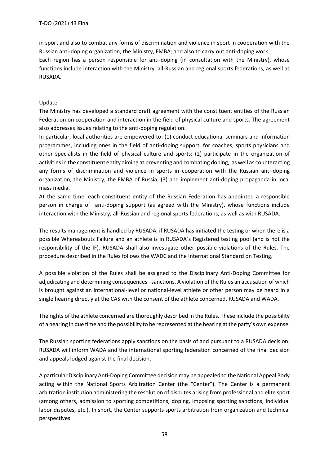in sport and also to combat any forms of discrimination and violence in sport in cooperation with the Russian anti-doping organization, the Ministry, FMBA; and also to carry out anti-doping work. Each region has a person responsible for anti-doping (in consultation with the Ministry), whose functions include interaction with the Ministry, all-Russian and regional sports federations, as well as RUSADA.

## Update

The Ministry has developed a standard draft agreement with the constituent entities of the Russian Federation on cooperation and interaction in the field of physical culture and sports. The agreement also addresses issues relating to the anti-doping regulation.

In particular, local authorities are empowered to: (1) conduct educational seminars and information programmes, including ones in the field of anti-doping support, for coaches, sports physicians and other specialists in the field of physical culture and sports; (2) participate in the organization of activities in the constituent entity aiming at preventing and combating doping, as well as counteracting any forms of discrimination and violence in sports in cooperation with the Russian anti-doping organization, the Ministry, the FMBA of Russia; (3) and implement anti-doping propaganda in local mass media.

At the same time, each constituent entity of the Russian Federation has appointed a responsible person in charge of anti-doping support (as agreed with the Ministry), whose functions include interaction with the Ministry, all-Russian and regional sports federations, as well as with RUSADA.

The results management is handled by RUSADA, if RUSADA has initiated the testing or when there is a possible Whereabouts Failure and an athlete is in RUSADA´s Registered testing pool (and is not the responsibility of the IF). RUSADA shall also investigate other possible violations of the Rules. The procedure described in the Rules follows the WADC and the International Standard on Testing.

A possible violation of the Rules shall be assigned to the Disciplinary Anti-Doping Committee for adjudicating and determining consequences - sanctions. A violation of the Rules an accusation of which is brought against an international-level or national-level athlete or other person may be heard in a single hearing directly at the CAS with the consent of the athlete concerned, RUSADA and WADA.

The rights of the athlete concerned are thoroughly described in the Rules. These include the possibility of a hearing in due time and the possibility to be represented at the hearing at the party´s own expense.

The Russian sporting federations apply sanctions on the basis of and pursuant to a RUSADA decision. RUSADA will inform WADA and the international sporting federation concerned of the final decision and appeals lodged against the final decision.

A particular Disciplinary Anti-Doping Committee decision may be appealed to the National Appeal Body acting within the National Sports Arbitration Center (the "Center"). The Center is a permanent arbitration institution administering the resolution of disputes arising from professional and elite sport (among others, admission to sporting competitions, doping, imposing sporting sanctions, individual labor disputes, etc.). In short, the Center supports sports arbitration from organization and technical perspectives.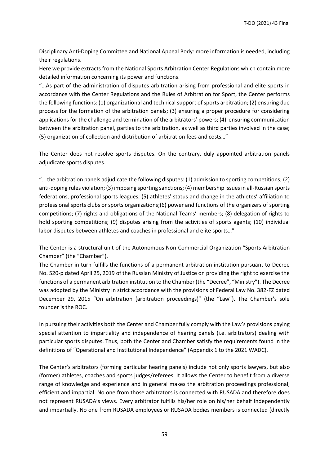T-DO (2021) 43 Final

Disciplinary Anti-Doping Committee and National Appeal Body: more information is needed, including their regulations.

Here we provide extracts from the National Sports Arbitration Center Regulations which contain more detailed information concerning its power and functions.

"…As part of the administration of disputes arbitration arising from professional and elite sports in accordance with the Center Regulations and the Rules of Arbitration for Sport, the Center performs the following functions: (1) organizational and technical support of sports arbitration; (2) ensuring due process for the formation of the arbitration panels; (3) ensuring a proper procedure for considering applications for the challenge and termination of the arbitrators' powers; (4) ensuring communication between the arbitration panel, parties to the arbitration, as well as third parties involved in the case; (5) organization of collection and distribution of arbitration fees and costs…"

The Center does not resolve sports disputes. On the contrary, duly appointed arbitration panels adjudicate sports disputes.

"… the arbitration panels adjudicate the following disputes: (1) admission to sporting competitions; (2) anti-doping rules violation; (3) imposing sporting sanctions; (4) membership issues in all-Russian sports federations, professional sports leagues; (5) athletes' status and change in the athletes' affiliation to professional sports clubs or sports organizations;(6) power and functions of the organizers of sporting competitions; (7) rights and obligations of the National Teams' members; (8) delegation of rights to hold sporting competitions; (9) disputes arising from the activities of sports agents; (10) individual labor disputes between athletes and coaches in professional and elite sports…"

The Center is a structural unit of the Autonomous Non-Commercial Organization "Sports Arbitration Chamber" (the "Chamber").

The Chamber in turn fulfills the functions of a permanent arbitration institution pursuant to Decree No. 520-р dated April 25, 2019 of the Russian Ministry of Justice on providing the right to exercise the functions of a permanent arbitration institution to the Chamber (the "Decree", "Ministry"). The Decree was adopted by the Ministry in strict accordance with the provisions of Federal Law No. 382-FZ dated December 29, 2015 "On arbitration (arbitration proceedings)" (the "Law"). The Chamber's sole founder is the ROC.

In pursuing their activities both the Center and Chamber fully comply with the Law's provisions paying special attention to impartiality and independence of hearing panels (i.e. arbitrators) dealing with particular sports disputes. Thus, both the Center and Chamber satisfy the requirements found in the definitions of "Operational and Institutional Independence" (Appendix 1 to the 2021 WADC).

The Center's arbitrators (forming particular hearing panels) include not only sports lawyers, but also (former) athletes, coaches and sports judges/referees. It allows the Center to benefit from a diverse range of knowledge and experience and in general makes the arbitration proceedings professional, efficient and impartial. No one from those arbitrators is connected with RUSADA and therefore does not represent RUSADA's views. Every arbitrator fulfills his/her role on his/her behalf independently and impartially. No one from RUSADA employees or RUSADA bodies members is connected (directly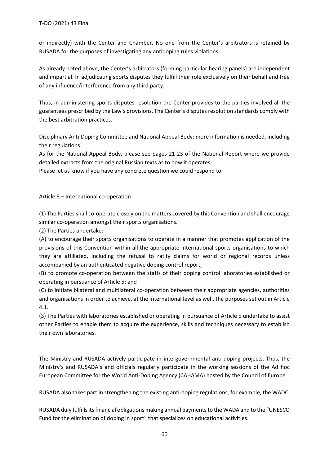or indirectly) with the Center and Chamber. No one from the Center's arbitrators is retained by RUSADA for the purposes of investigating any antidoping rules violations.

As already noted above, the Center's arbitrators (forming particular hearing panels) are independent and impartial. In adjudicating sports disputes they fulfill their role exclusively on their behalf and free of any influence/interference from any third party.

Thus, in administering sports disputes resolution the Center provides to the parties involved all the guarantees prescribed by the Law's provisions. The Center's disputes resolution standards comply with the best arbitration practices.

Disciplinary Anti-Doping Committee and National Appeal Body: more information is needed, including their regulations.

As for the National Appeal Body, please see pages 21-23 of the National Report where we provide detailed extracts from the original Russian texts as to how it operates.

Please let us know if you have any concrete question we could respond to.

Article 8 – International co-operation

(1) The Parties shall co-operate closely on the matters covered by this Convention and shall encourage similar co-operation amongst their sports organisations.

(2) The Parties undertake:

(A) to encourage their sports organisations to operate in a manner that promotes application of the provisions of this Convention within all the appropriate international sports organisations to which they are affiliated, including the refusal to ratify claims for world or regional records unless accompanied by an authenticated negative doping control report;

(B) to promote co-operation between the staffs of their doping control laboratories established or operating in pursuance of Article 5; and

(C) to initiate bilateral and multilateral co-operation between their appropriate agencies, authorities and organisations in order to achieve, at the international level as well, the purposes set out in Article 4.1.

(3) The Parties with laboratories established or operating in pursuance of Article 5 undertake to assist other Parties to enable them to acquire the experience, skills and techniques necessary to establish their own laboratories.

The Ministry and RUSADA actively participate in intergovernmental anti-doping projects. Thus, the Ministry's and RUSADA's and officials regularly participate in the working sessions of the Ad hoc European Committee for the World Anti-Doping Agency (CAHAMA) hosted by the Council of Europe.

RUSADA also takes part in strengthening the existing anti-doping regulations, for example, the WADC.

RUSADA duly fulfills its financial obligations making annual payments to the WADA and to the "UNESCO Fund for the elimination of doping in sport" that specializes on educational activities.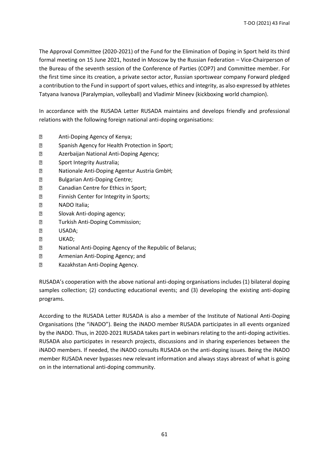The Approval Committee (2020-2021) of the Fund for the Elimination of Doping in Sport held its third formal meeting on 15 June 2021, hosted in Moscow by the Russian Federation – Vice-Chairperson of the Bureau of the seventh session of the Conference of Parties (COP7) and Committee member. For the first time since its creation, a private sector actor, Russian sportswear company Forward pledged a contribution to the Fund in support of sport values, ethics and integrity, as also expressed by athletes Tatyana Ivanova (Paralympian, volleyball) and Vladimir Mineev (kickboxing world champion).

In accordance with the RUSADA Letter RUSADA maintains and develops friendly and professional relations with the following foreign national anti-doping organisations:

- $\overline{2}$ Anti-Doping Agency of Kenya;
- $\overline{2}$ Spanish Agency for Health Protection in Sport;
- $\boxed{2}$ Azerbaijan National Anti-Doping Agency;
- $\overline{?}$ Sport Integrity Australia;
- $\overline{2}$ Nationale Anti-Doping Agentur Austria GmbH;
- $\boxed{2}$ Bulgarian Anti-Doping Centre;
- $\boxed{2}$ Canadian Centre for Ethics in Sport;
- $\boxed{2}$ Finnish Center for Integrity in Sports;
- $\overline{?}$ NADO Italia;
- $\overline{2}$ Slovak Anti-doping agency;
- $\overline{?}$ Turkish Anti-Doping Commission;
- $\overline{2}$ USADA;
- $\overline{2}$ UKAD;
- $\boxed{2}$ National Anti-Doping Agency of the Republic of Belarus;
- $\overline{2}$ Armenian Anti-Doping Agency; and
- $\overline{?}$ Kazakhstan Anti-Doping Agency.

RUSADA's cooperation with the above national anti-doping organisations includes (1) bilateral doping samples collection; (2) conducting educational events; and (3) developing the existing anti-doping programs.

According to the RUSADA Letter RUSADA is also a member of the Institute of National Anti-Doping Organisations (the "iNADO"). Being the iNADO member RUSADA participates in all events organized by the iNADO. Thus, in 2020-2021 RUSADA takes part in webinars relating to the anti-doping activities. RUSADA also participates in research projects, discussions and in sharing experiences between the iNADO members. If needed, the iNADO consults RUSADA on the anti-doping issues. Being the iNADO member RUSADA never bypasses new relevant information and always stays abreast of what is going on in the international anti-doping community.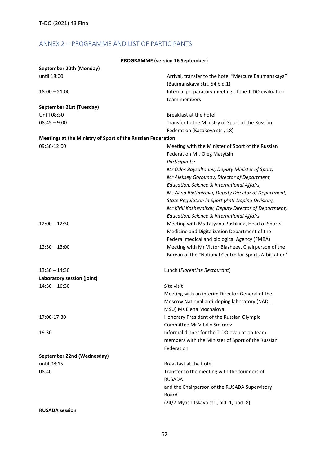# <span id="page-61-0"></span>ANNEX 2 – PROGRAMME AND LIST OF PARTICIPANTS

| <b>PROGRAMME (version 16 September)</b>                     |                                                               |  |
|-------------------------------------------------------------|---------------------------------------------------------------|--|
| September 20th (Monday)                                     |                                                               |  |
| until 18:00                                                 | Arrival, transfer to the hotel "Mercure Baumanskaya"          |  |
|                                                             | (Baumanskaya str., 54 bld.1)                                  |  |
| $18:00 - 21:00$                                             | Internal preparatory meeting of the T-DO evaluation           |  |
|                                                             | team members                                                  |  |
| September 21st (Tuesday)                                    |                                                               |  |
| Until 08:30                                                 | Breakfast at the hotel                                        |  |
| $08:45 - 9:00$                                              | Transfer to the Ministry of Sport of the Russian              |  |
|                                                             | Federation (Kazakova str., 18)                                |  |
| Meetings at the Ministry of Sport of the Russian Federation |                                                               |  |
| 09:30-12:00                                                 | Meeting with the Minister of Sport of the Russian             |  |
|                                                             | Federation Mr. Oleg Matytsin                                  |  |
|                                                             | Participants:                                                 |  |
|                                                             | Mr Odes Baysultanov, Deputy Minister of Sport,                |  |
|                                                             | Mr Aleksey Gorbunov, Director of Department,                  |  |
|                                                             | Education, Science & International Affairs,                   |  |
|                                                             | Ms Alina Biktimirova, Deputy Director of Department,          |  |
|                                                             | State Regulation in Sport (Anti-Doping Division),             |  |
|                                                             | Mr Kirill Kozhevnikov, Deputy Director of Department,         |  |
|                                                             | Education, Science & International Affairs.                   |  |
| $12:00 - 12:30$                                             | Meeting with Ms Tatyana Pushkina, Head of Sports              |  |
|                                                             | Medicine and Digitalization Department of the                 |  |
|                                                             | Federal medical and biological Agency (FMBA)                  |  |
| $12:30 - 13:00$                                             | Meeting with Mr Victor Blazheev, Chairperson of the           |  |
|                                                             | Bureau of the "National Centre for Sports Arbitration"        |  |
| $13:30 - 14:30$                                             | Lunch (Florentine Restaurant)                                 |  |
| Laboratory session (joint)                                  |                                                               |  |
| $14:30 - 16:30$                                             | Site visit                                                    |  |
|                                                             | Meeting with an interim Director-General of the               |  |
|                                                             | Moscow National anti-doping laboratory (NADL                  |  |
|                                                             | MSU) Ms Elena Mochalova;                                      |  |
| 17:00-17:30                                                 | Honorary President of the Russian Olympic                     |  |
|                                                             | Committee Mr Vitaliy Smirnov                                  |  |
| 19:30                                                       | Informal dinner for the T-DO evaluation team                  |  |
|                                                             | members with the Minister of Sport of the Russian             |  |
|                                                             | Federation                                                    |  |
| September 22nd (Wednesday)                                  |                                                               |  |
| until 08:15                                                 | Breakfast at the hotel                                        |  |
| 08:40                                                       | Transfer to the meeting with the founders of<br><b>RUSADA</b> |  |
|                                                             | and the Chairperson of the RUSADA Supervisory                 |  |
|                                                             | Board                                                         |  |
|                                                             | (24/7 Myasnitskaya str., bld. 1, pod. 8)                      |  |
| <b>RUSADA</b> session                                       |                                                               |  |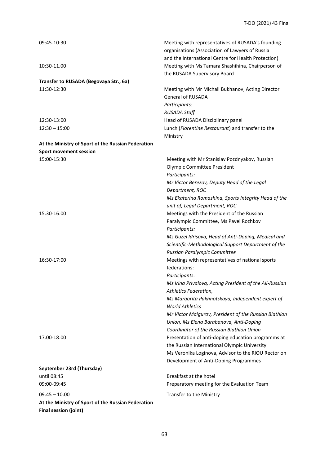| 09:45-10:30                                                                        | Meeting with representatives of RUSADA's founding<br>organisations (Association of Lawyers of Russia<br>and the International Centre for Health Protection) |
|------------------------------------------------------------------------------------|-------------------------------------------------------------------------------------------------------------------------------------------------------------|
| 10:30-11.00                                                                        | Meeting with Ms Tamara Shashihina, Chairperson of<br>the RUSADA Supervisory Board                                                                           |
| Transfer to RUSADA (Begovaya Str., 6a)                                             |                                                                                                                                                             |
| 11:30-12:30                                                                        | Meeting with Mr Michail Bukhanov, Acting Director<br><b>General of RUSADA</b><br>Participants:                                                              |
|                                                                                    | <b>RUSADA Staff</b>                                                                                                                                         |
| 12:30-13:00                                                                        | Head of RUSADA Disciplinary panel                                                                                                                           |
| $12:30 - 15:00$                                                                    | Lunch (Florentine Restaurant) and transfer to the                                                                                                           |
|                                                                                    | Ministry                                                                                                                                                    |
| At the Ministry of Sport of the Russian Federation                                 |                                                                                                                                                             |
| <b>Sport movement session</b>                                                      |                                                                                                                                                             |
| 15:00-15:30                                                                        | Meeting with Mr Stanislav Pozdnyakov, Russian<br>Olympic Committee President<br>Participants:                                                               |
|                                                                                    | Mr Victor Berezov, Deputy Head of the Legal<br>Department, ROC                                                                                              |
|                                                                                    | Ms Ekaterina Romashina, Sports Integrity Head of the                                                                                                        |
|                                                                                    | unit of, Legal Department, ROC                                                                                                                              |
| 15:30-16:00                                                                        | Meetings with the President of the Russian                                                                                                                  |
|                                                                                    | Paralympic Committee, Ms Pavel Rozhkov                                                                                                                      |
|                                                                                    | Participants:                                                                                                                                               |
|                                                                                    | Ms Guzel Idrisova, Head of Anti-Doping, Medical and                                                                                                         |
|                                                                                    | Scientific-Methodological Support Department of the                                                                                                         |
| 16:30-17:00                                                                        | Russian Paralympic Committee                                                                                                                                |
|                                                                                    | Meetings with representatives of national sports<br>federations:                                                                                            |
|                                                                                    | Participants:                                                                                                                                               |
|                                                                                    | Ms Irina Privalova, Acting President of the All-Russian                                                                                                     |
|                                                                                    | Athletics Federation,                                                                                                                                       |
|                                                                                    | Ms Margorita Pakhnotskaya, Independent expert of<br><b>World Athletics</b>                                                                                  |
|                                                                                    | Mr Victor Maigurov, President of the Russian Biathlon                                                                                                       |
|                                                                                    | Union, Ms Elena Barabanova, Anti-Doping                                                                                                                     |
|                                                                                    | Coordinator of the Russian Biathlon Union                                                                                                                   |
| 17:00-18:00                                                                        | Presentation of anti-doping education programms at                                                                                                          |
|                                                                                    | the Russian International Olympic University                                                                                                                |
|                                                                                    | Ms Veronika Loginova, Advisor to the RIOU Rector on                                                                                                         |
|                                                                                    | Development of Anti-Doping Programmes                                                                                                                       |
| September 23rd (Thursday)                                                          |                                                                                                                                                             |
| until 08:45                                                                        | Breakfast at the hotel                                                                                                                                      |
| 09:00-09:45                                                                        | Preparatory meeting for the Evaluation Team                                                                                                                 |
| $09:45 - 10:00$                                                                    | Transfer to the Ministry                                                                                                                                    |
| At the Ministry of Sport of the Russian Federation<br><b>Final session (joint)</b> |                                                                                                                                                             |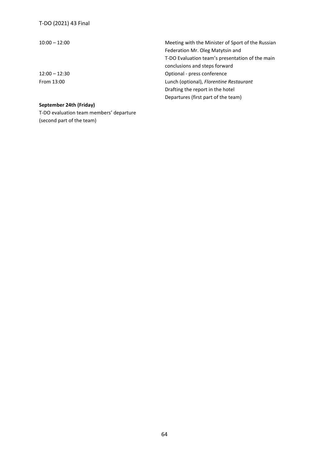## T-DO (2021) 43 Final

#### **September 24th (Friday)**

T-DO evaluation team members' departure (second part of the team)

10:00 – 12:00 Meeting with the Minister of Sport of the Russian Federation Mr. Oleg Matytsin and T-DO Evaluation team's presentation of the main conclusions and steps forward 12:00 – 12:30 Optional - press conference From 13:00 Lunch (optional), *Florentine Restaurant*  Drafting the report in the hotel Departures (first part of the team)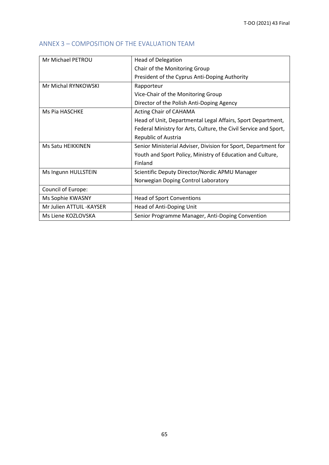| Mr Michael PETROU        | <b>Head of Delegation</b>                                        |
|--------------------------|------------------------------------------------------------------|
|                          | Chair of the Monitoring Group                                    |
|                          | President of the Cyprus Anti-Doping Authority                    |
| Mr Michal RYNKOWSKI      | Rapporteur                                                       |
|                          | Vice-Chair of the Monitoring Group                               |
|                          | Director of the Polish Anti-Doping Agency                        |
| Ms Pia HASCHKE           | Acting Chair of CAHAMA                                           |
|                          | Head of Unit, Departmental Legal Affairs, Sport Department,      |
|                          | Federal Ministry for Arts, Culture, the Civil Service and Sport, |
|                          | Republic of Austria                                              |
| Ms Satu HEIKKINEN        | Senior Ministerial Adviser, Division for Sport, Department for   |
|                          | Youth and Sport Policy, Ministry of Education and Culture,       |
|                          | Finland                                                          |
| Ms Ingunn HULLSTEIN      | Scientific Deputy Director/Nordic APMU Manager                   |
|                          | Norwegian Doping Control Laboratory                              |
| Council of Europe:       |                                                                  |
| Ms Sophie KWASNY         | <b>Head of Sport Conventions</b>                                 |
| Mr Julien ATTUIL -KAYSER | Head of Anti-Doping Unit                                         |
| Ms Liene KOZLOVSKA       | Senior Programme Manager, Anti-Doping Convention                 |

# <span id="page-64-0"></span>ANNEX 3 – COMPOSITION OF THE EVALUATION TEAM